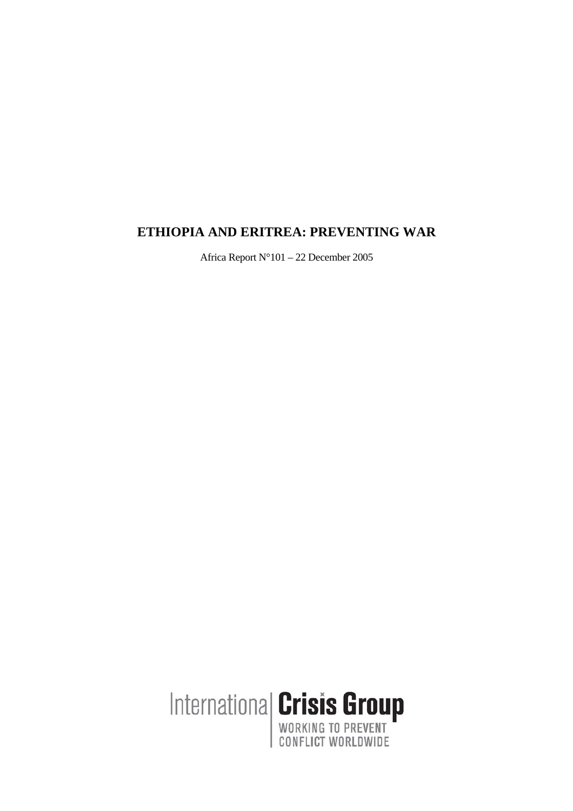# **ETHIOPIA AND ERITREA: PREVENTING WAR**

Africa Report N°101 – 22 December 2005

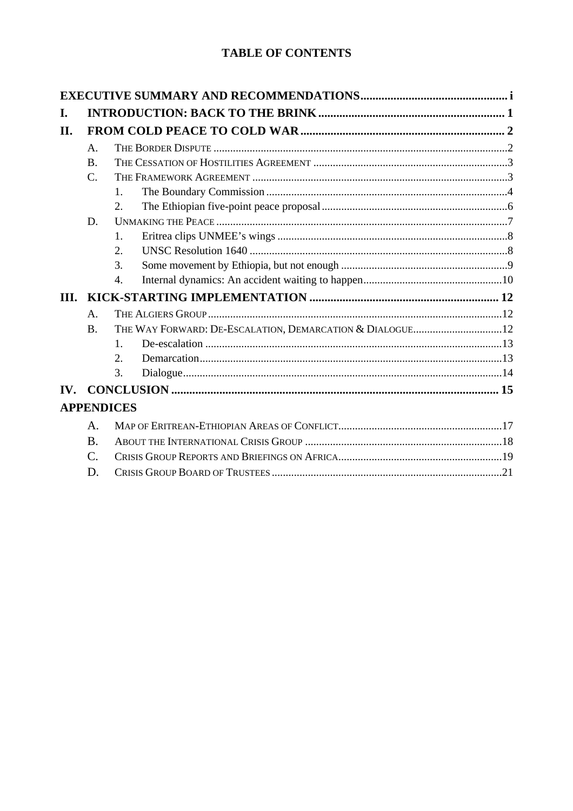# **TABLE OF CONTENTS**

| I.   |                 |                   |  |  |  |
|------|-----------------|-------------------|--|--|--|
| II.  |                 |                   |  |  |  |
|      | A.              |                   |  |  |  |
|      | $\mathbf{B}$ .  |                   |  |  |  |
|      | $\mathcal{C}$ . |                   |  |  |  |
|      |                 | 1.                |  |  |  |
|      |                 | 2.                |  |  |  |
|      | D.              |                   |  |  |  |
|      |                 | $\mathbf{1}$ .    |  |  |  |
|      |                 | 2.                |  |  |  |
|      |                 | 3.                |  |  |  |
|      |                 | $\overline{4}$ .  |  |  |  |
| III. |                 |                   |  |  |  |
|      | A.              |                   |  |  |  |
|      | $\mathbf{B}$ .  |                   |  |  |  |
|      |                 | $\mathbf{1}$      |  |  |  |
|      |                 | 2.                |  |  |  |
|      |                 | 3.                |  |  |  |
| IV.  |                 |                   |  |  |  |
|      |                 | <b>APPENDICES</b> |  |  |  |
|      | $\mathsf{A}$ .  |                   |  |  |  |
|      | $\bf{B}$        |                   |  |  |  |
|      | $\mathcal{C}$ . |                   |  |  |  |
|      | D.              |                   |  |  |  |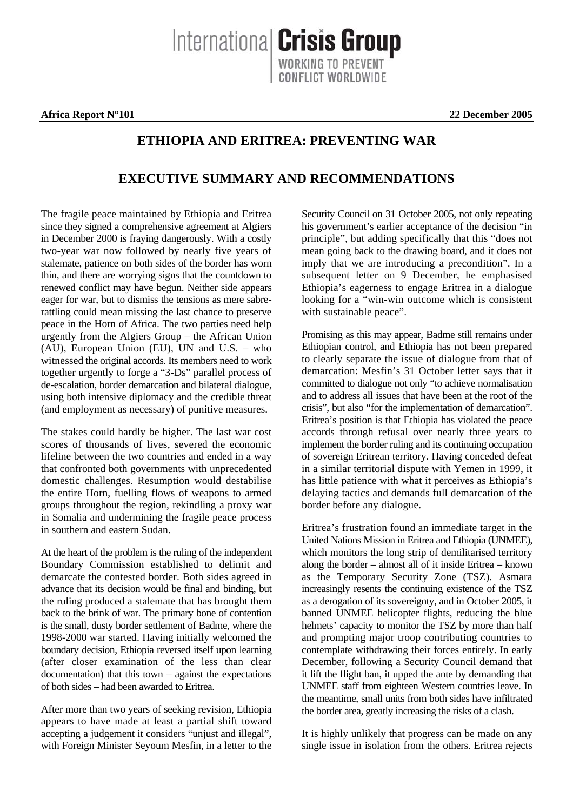Internationa **Crisis Group** 

**Africa Report N°101 22 December 2005** 

## **ETHIOPIA AND ERITREA: PREVENTING WAR**

# **EXECUTIVE SUMMARY AND RECOMMENDATIONS**

The fragile peace maintained by Ethiopia and Eritrea since they signed a comprehensive agreement at Algiers in December 2000 is fraying dangerously. With a costly two-year war now followed by nearly five years of stalemate, patience on both sides of the border has worn thin, and there are worrying signs that the countdown to renewed conflict may have begun. Neither side appears eager for war, but to dismiss the tensions as mere sabrerattling could mean missing the last chance to preserve peace in the Horn of Africa. The two parties need help urgently from the Algiers Group – the African Union (AU), European Union (EU), UN and U.S. – who witnessed the original accords. Its members need to work together urgently to forge a "3-Ds" parallel process of de-escalation, border demarcation and bilateral dialogue, using both intensive diplomacy and the credible threat (and employment as necessary) of punitive measures.

The stakes could hardly be higher. The last war cost scores of thousands of lives, severed the economic lifeline between the two countries and ended in a way that confronted both governments with unprecedented domestic challenges. Resumption would destabilise the entire Horn, fuelling flows of weapons to armed groups throughout the region, rekindling a proxy war in Somalia and undermining the fragile peace process in southern and eastern Sudan.

At the heart of the problem is the ruling of the independent Boundary Commission established to delimit and demarcate the contested border. Both sides agreed in advance that its decision would be final and binding, but the ruling produced a stalemate that has brought them back to the brink of war. The primary bone of contention is the small, dusty border settlement of Badme, where the 1998-2000 war started. Having initially welcomed the boundary decision, Ethiopia reversed itself upon learning (after closer examination of the less than clear documentation) that this town – against the expectations of both sides – had been awarded to Eritrea.

After more than two years of seeking revision, Ethiopia appears to have made at least a partial shift toward accepting a judgement it considers "unjust and illegal", with Foreign Minister Seyoum Mesfin, in a letter to the

Security Council on 31 October 2005, not only repeating his government's earlier acceptance of the decision "in principle", but adding specifically that this "does not mean going back to the drawing board, and it does not imply that we are introducing a precondition". In a subsequent letter on 9 December, he emphasised Ethiopia's eagerness to engage Eritrea in a dialogue looking for a "win-win outcome which is consistent with sustainable peace".

Promising as this may appear, Badme still remains under Ethiopian control, and Ethiopia has not been prepared to clearly separate the issue of dialogue from that of demarcation: Mesfin's 31 October letter says that it committed to dialogue not only "to achieve normalisation and to address all issues that have been at the root of the crisis", but also "for the implementation of demarcation". Eritrea's position is that Ethiopia has violated the peace accords through refusal over nearly three years to implement the border ruling and its continuing occupation of sovereign Eritrean territory. Having conceded defeat in a similar territorial dispute with Yemen in 1999, it has little patience with what it perceives as Ethiopia's delaying tactics and demands full demarcation of the border before any dialogue.

Eritrea's frustration found an immediate target in the United Nations Mission in Eritrea and Ethiopia (UNMEE), which monitors the long strip of demilitarised territory along the border – almost all of it inside Eritrea – known as the Temporary Security Zone (TSZ). Asmara increasingly resents the continuing existence of the TSZ as a derogation of its sovereignty, and in October 2005, it banned UNMEE helicopter flights, reducing the blue helmets' capacity to monitor the TSZ by more than half and prompting major troop contributing countries to contemplate withdrawing their forces entirely. In early December, following a Security Council demand that it lift the flight ban, it upped the ante by demanding that UNMEE staff from eighteen Western countries leave. In the meantime, small units from both sides have infiltrated the border area, greatly increasing the risks of a clash.

It is highly unlikely that progress can be made on any single issue in isolation from the others. Eritrea rejects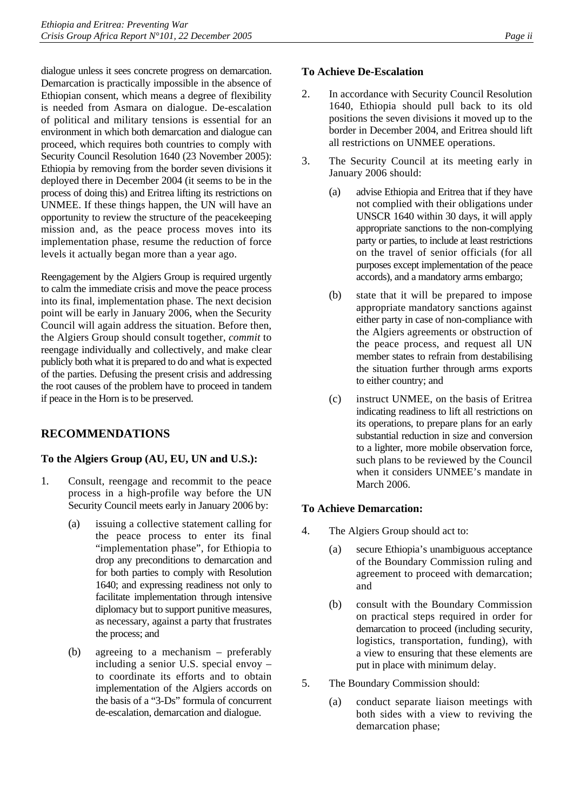dialogue unless it sees concrete progress on demarcation. Demarcation is practically impossible in the absence of Ethiopian consent, which means a degree of flexibility is needed from Asmara on dialogue. De-escalation of political and military tensions is essential for an environment in which both demarcation and dialogue can proceed, which requires both countries to comply with Security Council Resolution 1640 (23 November 2005): Ethiopia by removing from the border seven divisions it deployed there in December 2004 (it seems to be in the process of doing this) and Eritrea lifting its restrictions on UNMEE. If these things happen, the UN will have an opportunity to review the structure of the peacekeeping mission and, as the peace process moves into its implementation phase, resume the reduction of force levels it actually began more than a year ago.

Reengagement by the Algiers Group is required urgently to calm the immediate crisis and move the peace process into its final, implementation phase. The next decision point will be early in January 2006, when the Security Council will again address the situation. Before then, the Algiers Group should consult together, *commit* to reengage individually and collectively, and make clear publicly both what it is prepared to do and what is expected of the parties. Defusing the present crisis and addressing the root causes of the problem have to proceed in tandem if peace in the Horn is to be preserved.

## **RECOMMENDATIONS**

## **To the Algiers Group (AU, EU, UN and U.S.):**

- 1. Consult, reengage and recommit to the peace process in a high-profile way before the UN Security Council meets early in January 2006 by:
	- (a) issuing a collective statement calling for the peace process to enter its final "implementation phase", for Ethiopia to drop any preconditions to demarcation and for both parties to comply with Resolution 1640; and expressing readiness not only to facilitate implementation through intensive diplomacy but to support punitive measures, as necessary, against a party that frustrates the process; and
	- (b) agreeing to a mechanism preferably including a senior U.S. special envoy – to coordinate its efforts and to obtain implementation of the Algiers accords on the basis of a "3-Ds" formula of concurrent de-escalation, demarcation and dialogue.

### **To Achieve De-Escalation**

- 2. In accordance with Security Council Resolution 1640, Ethiopia should pull back to its old positions the seven divisions it moved up to the border in December 2004, and Eritrea should lift all restrictions on UNMEE operations.
- 3. The Security Council at its meeting early in January 2006 should:
	- (a) advise Ethiopia and Eritrea that if they have not complied with their obligations under UNSCR 1640 within 30 days, it will apply appropriate sanctions to the non-complying party or parties, to include at least restrictions on the travel of senior officials (for all purposes except implementation of the peace accords), and a mandatory arms embargo;
	- (b) state that it will be prepared to impose appropriate mandatory sanctions against either party in case of non-compliance with the Algiers agreements or obstruction of the peace process, and request all UN member states to refrain from destabilising the situation further through arms exports to either country; and
	- (c) instruct UNMEE, on the basis of Eritrea indicating readiness to lift all restrictions on its operations, to prepare plans for an early substantial reduction in size and conversion to a lighter, more mobile observation force, such plans to be reviewed by the Council when it considers UNMEE's mandate in March 2006.

#### **To Achieve Demarcation:**

- 4. The Algiers Group should act to:
	- (a) secure Ethiopia's unambiguous acceptance of the Boundary Commission ruling and agreement to proceed with demarcation; and
	- (b) consult with the Boundary Commission on practical steps required in order for demarcation to proceed (including security, logistics, transportation, funding), with a view to ensuring that these elements are put in place with minimum delay.
- 5. The Boundary Commission should:
	- (a) conduct separate liaison meetings with both sides with a view to reviving the demarcation phase;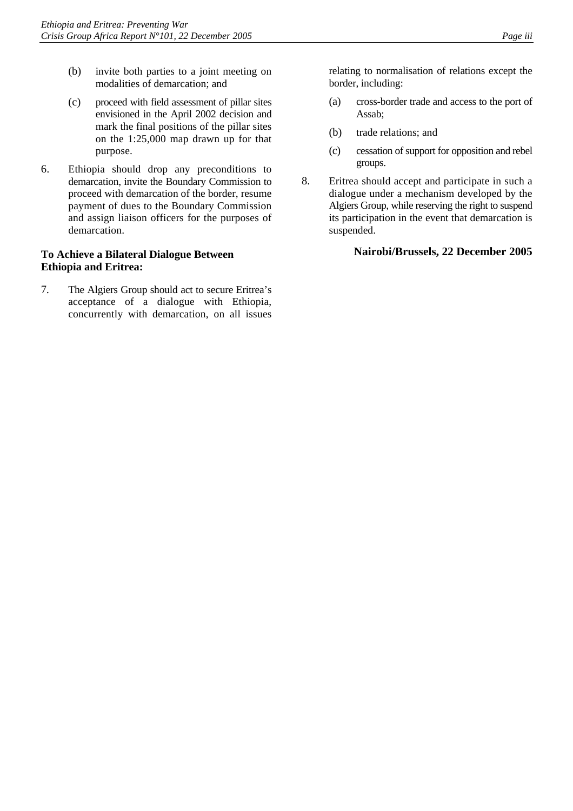- (b) invite both parties to a joint meeting on modalities of demarcation; and
- (c) proceed with field assessment of pillar sites envisioned in the April 2002 decision and mark the final positions of the pillar sites on the 1:25,000 map drawn up for that purpose.
- 6. Ethiopia should drop any preconditions to demarcation, invite the Boundary Commission to proceed with demarcation of the border, resume payment of dues to the Boundary Commission and assign liaison officers for the purposes of demarcation.

### **To Achieve a Bilateral Dialogue Between Ethiopia and Eritrea:**

7. The Algiers Group should act to secure Eritrea's acceptance of a dialogue with Ethiopia, concurrently with demarcation, on all issues relating to normalisation of relations except the border, including:

- (a) cross-border trade and access to the port of Assab;
- (b) trade relations; and
- (c) cessation of support for opposition and rebel groups.
- 8. Eritrea should accept and participate in such a dialogue under a mechanism developed by the Algiers Group, while reserving the right to suspend its participation in the event that demarcation is suspended.

## **Nairobi/Brussels, 22 December 2005**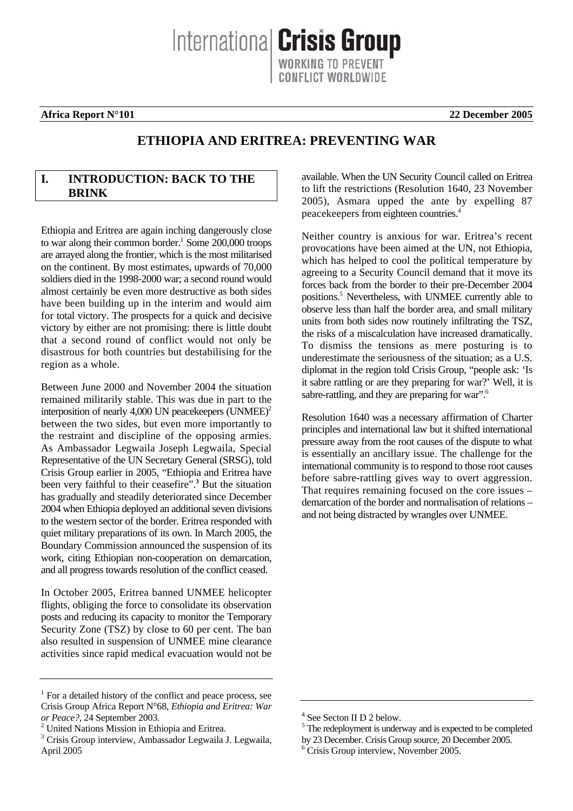Internationa **Crisis Group** ONFLICT WORLDWIDE

#### **Africa Report N°101 22 December 2005**

# **ETHIOPIA AND ERITREA: PREVENTING WAR**

### **I. INTRODUCTION: BACK TO THE BRINK**

Ethiopia and Eritrea are again inching dangerously close to war along their common border.<sup>[1](#page-5-0)</sup> Some 200,000 troops are arrayed along the frontier, which is the most militarised on the continent. By most estimates, upwards of 70,000 soldiers died in the 1998-2000 war; a second round would almost certainly be even more destructive as both sides have been building up in the interim and would aim for total victory. The prospects for a quick and decisive victory by either are not promising: there is little doubt that a second round of conflict would not only be disastrous for both countries but destabilising for the region as a whole.

Between June 2000 and November 2004 the situation remained militarily stable. This was due in part to the interposition of nearly 4,000 UN peacekeepers  $(UNMEE)^2$ between the two sides, but even more importantly to the restraint and discipline of the opposing armies. As Ambassador Legwaila Joseph Legwaila, Special Representative of the UN Secretary General (SRSG), told Crisis Group earlier in 2005, "Ethiopia and Eritrea have been very faithful to their ceasefire".**<sup>3</sup>**  [B](#page-5-2)ut the situation has gradually and steadily deteriorated since December 2004 when Ethiopia deployed an additional seven divisions to the western sector of the border. Eritrea responded with quiet military preparations of its own. In March 2005, the Boundary Commission announced the suspension of its work, citing Ethiopian non-cooperation on demarcation, and all progress towards resolution of the conflict ceased.

In October 2005, Eritrea banned UNMEE helicopter flights, obliging the force to consolidate its observation posts and reducing its capacity to monitor the Temporary Security Zone (TSZ) by close to 60 per cent. The ban also resulted in suspension of UNMEE mine clearance activities since rapid medical evacuation would not be

available. When the UN Security Council called on Eritrea to lift the restrictions (Resolution 1640, 23 November 2005), Asmara upped the ante by expelling 87 peacekeepers from eighteen countries.<sup>[4](#page-5-3)</sup>

Neither country is anxious for war. Eritrea's recent provocations have been aimed at the UN, not Ethiopia, which has helped to cool the political temperature by agreeing to a Security Council demand that it move its forces back from the border to their pre-December 2004 positions.<sup>5</sup> Nevertheless, with UNMEE currently able to observe less than half the border area, and small military units from both sides now routinely infiltrating the TSZ, the risks of a miscalculation have increased dramatically. To dismiss the tensions as mere posturing is to underestimate the seriousness of the situation; as a U.S. diplomat in the region told Crisis Group, "people ask: 'Is it sabre rattling or are they preparing for war?' Well, it is sabre-rattling,and they are preparing for war".<sup>6</sup>

Resolution 1640 was a necessary affirmation of Charter principles and international law but it shifted international pressure away from the root causes of the dispute to what is essentially an ancillary issue. The challenge for the international community is to respond to those root causes before sabre-rattling gives way to overt aggression. That requires remaining focused on the core issues – demarcation of the border and normalisation of relations – and not being distracted by wrangles over UNMEE.

<span id="page-5-0"></span><sup>&</sup>lt;sup>1</sup> For a detailed history of the conflict and peace process, see Crisis Group Africa Report N°68, *Ethiopia and Eritrea: War or Peace?*, 24 September 2003. 2

<span id="page-5-1"></span><sup>&</sup>lt;sup>2</sup> United Nations Mission in Ethiopia and Eritrea.

<span id="page-5-2"></span><sup>3</sup> Crisis Group interview, Ambassador Legwaila J. Legwaila, April 2005

<span id="page-5-3"></span><sup>4</sup> See Secton II D 2 below.

<span id="page-5-4"></span><sup>&</sup>lt;sup>5</sup> The redeployment is underway and is expected to be completed

by 23 December. Crisis Group source, 20 December 2005.

<span id="page-5-5"></span> $6$  Crisis Group interview, November 2005.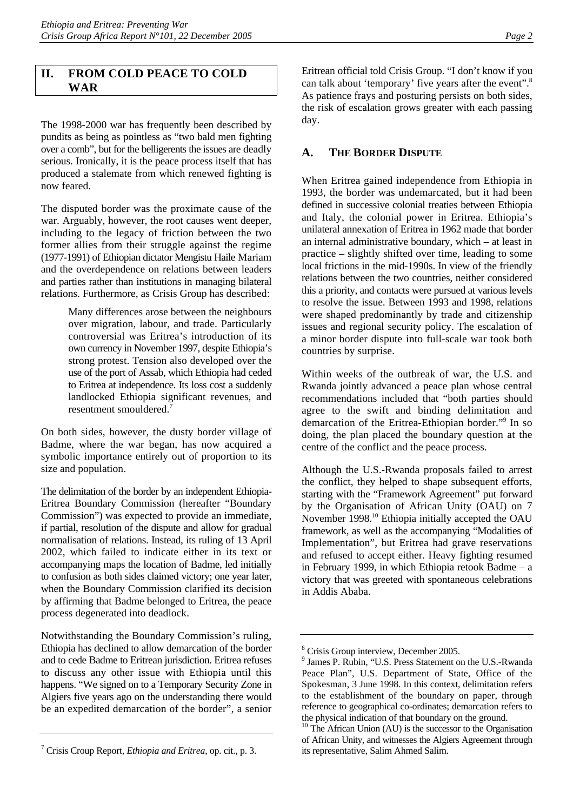### **II. FROM COLD PEACE TO COLD WAR**

The 1998-2000 war has frequently been described by pundits as being as pointless as "two bald men fighting over a comb", but for the belligerents the issues are deadly serious. Ironically, it is the peace process itself that has produced a stalemate from which renewed fighting is now feared.

The disputed border was the proximate cause of the war. Arguably, however, the root causes went deeper, including to the legacy of friction between the two former allies from their struggle against the regime (1977-1991) of Ethiopian dictator Mengistu Haile Mariam and the overdependence on relations between leaders and parties rather than institutions in managing bilateral relations. Furthermore, as Crisis Group has described:

> Many differences arose between the neighbours over migration, labour, and trade. Particularly controversial was Eritrea's introduction of its own currency in November 1997, despite Ethiopia's strong protest. Tension also developed over the use of the port of Assab, which Ethiopia had ceded to Eritrea at independence. Its loss cost a suddenly landlocked Ethiopia significant revenues, and resentment smouldered.<sup>[7](#page-6-0)</sup>

On both sides, however, the dusty border village of Badme, where the war began, has now acquired a symbolic importance entirely out of proportion to its size and population.

The delimitation of the border by an independent Ethiopia-Eritrea Boundary Commission (hereafter "Boundary Commission") was expected to provide an immediate, if partial, resolution of the dispute and allow for gradual normalisation of relations. Instead, its ruling of 13 April 2002, which failed to indicate either in its text or accompanying maps the location of Badme, led initially to confusion as both sides claimed victory; one year later, when the Boundary Commission clarified its decision by affirming that Badme belonged to Eritrea, the peace process degenerated into deadlock.

Notwithstanding the Boundary Commission's ruling, Ethiopia has declined to allow demarcation of the border and to cede Badme to Eritrean jurisdiction. Eritrea refuses to discuss any other issue with Ethiopia until this happens. "We signed on to a Temporary Security Zone in Algiers five years ago on the understanding there would be an expedited demarcation of the border", a senior Eritrean official told Crisis Group. "I don't know if you can talk about 'temporary' five years after the event".<sup>8</sup> As patience frays and posturing persists on both sides, the risk of escalation grows greater with each passing day.

## **A. THE BORDER DISPUTE**

When Eritrea gained independence from Ethiopia in 1993, the border was undemarcated, but it had been defined in successive colonial treaties between Ethiopia and Italy, the colonial power in Eritrea. Ethiopia's unilateral annexation of Eritrea in 1962 made that border an internal administrative boundary, which – at least in practice – slightly shifted over time, leading to some local frictions in the mid-1990s. In view of the friendly relations between the two countries, neither considered this a priority, and contacts were pursued at various levels to resolve the issue. Between 1993 and 1998, relations were shaped predominantly by trade and citizenship issues and regional security policy. The escalation of a minor border dispute into full-scale war took both countries by surprise.

Within weeks of the outbreak of war, the U.S. and Rwanda jointly advanced a peace plan whose central recommendations included that "both parties should agree to the swift and binding delimitation and demarcation of the Eritrea-Ethiopian border."9 In so doing, the plan placed the boundary question at the centre of the conflict and the peace process.

Although the U.S.-Rwanda proposals failed to arrest the conflict, they helped to shape subsequent efforts, starting with the "Framework Agreement" put forward by the Organisation of African Unity (OAU) on 7 November 1998[.10 E](#page-6-3)thiopia initially accepted the OAU framework, as well as the accompanying "Modalities of Implementation", but Eritrea had grave reservations and refused to accept either. Heavy fighting resumed in February 1999, in which Ethiopia retook Badme – a victory that was greeted with spontaneous celebrations in Addis Ababa.

<span id="page-6-0"></span><sup>7</sup> Crisis Croup Report, *Ethiopia and Eritrea*, op. cit., p. 3.

<span id="page-6-1"></span><sup>8</sup> Crisis Group interview, December 2005.

<span id="page-6-2"></span><sup>9</sup> James P. Rubin, "U.S. Press Statement on the U.S.-Rwanda Peace Plan", U.S. Department of State, Office of the Spokesman, 3 June 1998. In this context, delimitation refers to the establishment of the boundary on paper, through reference to geographical co-ordinates; demarcation refers to the physical indication of that boundary on the ground.

<span id="page-6-3"></span><sup>&</sup>lt;sup>10</sup> The African Union (AU) is the successor to the Organisation of African Unity, and witnesses the Algiers Agreement through its representative, Salim Ahmed Salim.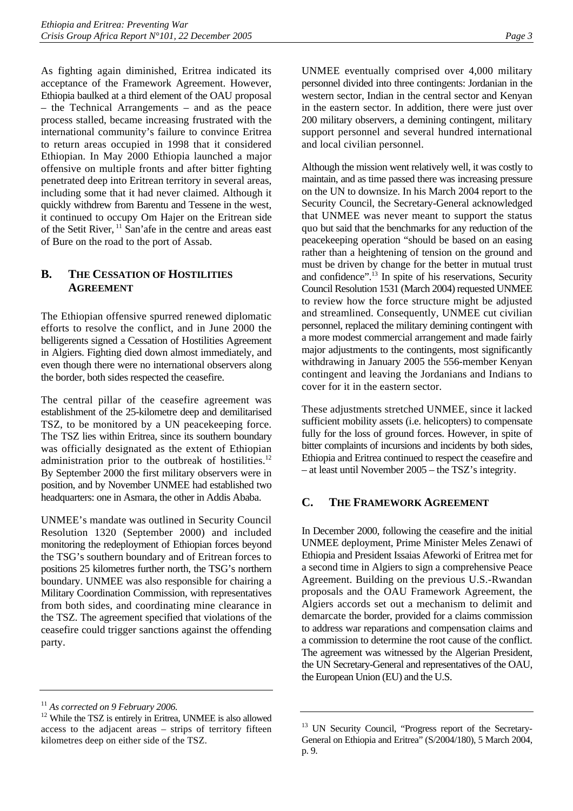As fighting again diminished, Eritrea indicated its acceptance of the Framework Agreement. However, Ethiopia baulked at a third element of the OAU proposal – the Technical Arrangements – and as the peace process stalled, became increasing frustrated with the international community's failure to convince Eritrea to return areas occupied in 1998 that it considered Ethiopian. In May 2000 Ethiopia launched a major offensive on multiple fronts and after bitter fighting penetrated deep into Eritrean territory in several areas, including some that it had never claimed. Although it quickly withdrew from Barentu and Tessene in the west, it continued to occupy Om Hajer on the Eritrean side of the Setit River, [11 S](#page-7-0)an'afe in the centre and areas east of Bure on the road to the port of Assab.

## **B. THE CESSATION OF HOSTILITIES AGREEMENT**

The Ethiopian offensive spurred renewed diplomatic efforts to resolve the conflict, and in June 2000 the belligerents signed a Cessation of Hostilities Agreement in Algiers. Fighting died down almost immediately, and even though there were no international observers along the border, both sides respected the ceasefire.

The central pillar of the ceasefire agreement was establishment of the 25-kilometre deep and demilitarised TSZ, to be monitored by a UN peacekeeping force. The TSZ lies within Eritrea, since its southern boundary was officially designated as the extent of Ethiopian administration prior to the outbreak of hostilities.<sup>12</sup> By September 2000 the first military observers were in position, and by November UNMEE had established two headquarters: one in Asmara, the other in Addis Ababa.

UNMEE's mandate was outlined in Security Council Resolution 1320 (September 2000) and included monitoring the redeployment of Ethiopian forces beyond the TSG's southern boundary and of Eritrean forces to positions 25 kilometres further north, the TSG's northern boundary. UNMEE was also responsible for chairing a Military Coordination Commission, with representatives from both sides, and coordinating mine clearance in the TSZ. The agreement specified that violations of the ceasefire could trigger sanctions against the offending party.

UNMEE eventually comprised over 4,000 military personnel divided into three contingents: Jordanian in the western sector, Indian in the central sector and Kenyan in the eastern sector. In addition, there were just over 200 military observers, a demining contingent, military support personnel and several hundred international and local civilian personnel.

Although the mission went relatively well, it was costly to maintain, and as time passed there was increasing pressure on the UN to downsize. In his March 2004 report to the Security Council, the Secretary-General acknowledged that UNMEE was never meant to support the status quo but said that the benchmarks for any reduction of the peacekeeping operation "should be based on an easing rather than a heightening of tension on the ground and must be driven by change for the better in mutual trust and confidence".<sup>13</sup> In spite of his reservations, Security Council Resolution 1531 (March 2004) requested UNMEE to review how the force structure might be adjusted and streamlined. Consequently, UNMEE cut civilian personnel, replaced the military demining contingent with a more modest commercial arrangement and made fairly major adjustments to the contingents, most significantly withdrawing in January 2005 the 556-member Kenyan contingent and leaving the Jordanians and Indians to cover for it in the eastern sector.

These adjustments stretched UNMEE, since it lacked sufficient mobility assets (i.e. helicopters) to compensate fully for the loss of ground forces. However, in spite of bitter complaints of incursions and incidents by both sides, Ethiopia and Eritrea continued to respect the ceasefire and – at least until November 2005 – the TSZ's integrity.

## **C. THE FRAMEWORK AGREEMENT**

In December 2000, following the ceasefire and the initial UNMEE deployment, Prime Minister Meles Zenawi of Ethiopia and President Issaias Afeworki of Eritrea met for a second time in Algiers to sign a comprehensive Peace Agreement. Building on the previous U.S.-Rwandan proposals and the OAU Framework Agreement, the Algiers accords set out a mechanism to delimit and demarcate the border, provided for a claims commission to address war reparations and compensation claims and a commission to determine the root cause of the conflict. The agreement was witnessed by the Algerian President, the UN Secretary-General and representatives of the OAU, the European Union (EU) and the U.S.

<span id="page-7-1"></span><span id="page-7-0"></span>

<sup>&</sup>lt;sup>11</sup> *As corrected on 9 February 2006.* <sup>12</sup> While the TSZ is entirely in Eritrea, UNMEE is also allowed access to the adjacent areas – strips of territory fifteen kilometres deep on either side of the TSZ.

<span id="page-7-2"></span><sup>&</sup>lt;sup>13</sup> UN Security Council, "Progress report of the Secretary-General on Ethiopia and Eritrea" (S/2004/180), 5 March 2004, p. 9.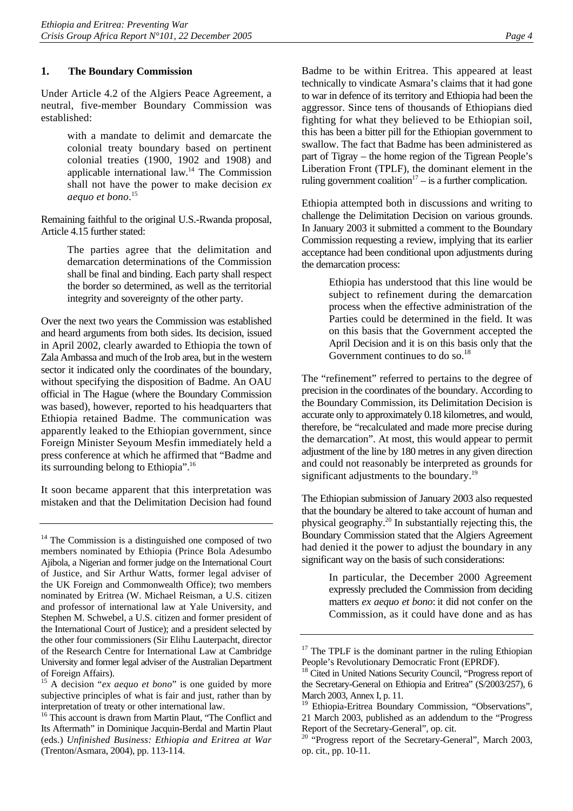#### **1. The Boundary Commission**

Under Article 4.2 of the Algiers Peace Agreement, a neutral, five-member Boundary Commission was established:

> with a mandate to delimit and demarcate the colonial treaty boundary based on pertinent colonial treaties (1900, 1902 and 1908) and applicable international law.[14](#page-8-0) The Commission shall not have the power to make decision *ex aequo et bono*. [15](#page-8-1)

Remaining faithful to the original U.S.-Rwanda proposal, Article 4.15 further stated:

> The parties agree that the delimitation and demarcation determinations of the Commission shall be final and binding. Each party shall respect the border so determined, as well as the territorial integrity and sovereignty of the other party.

Over the next two years the Commission was established and heard arguments from both sides. Its decision, issued in April 2002, clearly awarded to Ethiopia the town of Zala Ambassa and much of the Irob area, but in the western sector it indicated only the coordinates of the boundary, without specifying the disposition of Badme. An OAU official in The Hague (where the Boundary Commission was based), however, reported to his headquarters that Ethiopia retained Badme. The communication was apparently leaked to the Ethiopian government, since Foreign Minister Seyoum Mesfin immediately held a press conference at which he affirmed that "Badme and its surrounding belong to Ethiopia".[16](#page-8-2)

It soon became apparent that this interpretation was mistaken and that the Delimitation Decision had found Badme to be within Eritrea. This appeared at least technically to vindicate Asmara's claims that it had gone to war in defence of its territory and Ethiopia had been the aggressor. Since tens of thousands of Ethiopians died fighting for what they believed to be Ethiopian soil, this has been a bitter pill for the Ethiopian government to swallow. The fact that Badme has been administered as part of Tigray – the home region of the Tigrean People's Liberation Front (TPLF), the dominant element in the ruling government coalition<sup>17</sup> – is a further complication.

Ethiopia attempted both in discussions and writing to challenge the Delimitation Decision on various grounds. In January 2003 it submitted a comment to the Boundary Commission requesting a review, implying that its earlier acceptance had been conditional upon adjustments during the demarcation process:

> Ethiopia has understood that this line would be subject to refinement during the demarcation process when the effective administration of the Parties could be determined in the field. It was on this basis that the Government accepted the April Decision and it is on this basis only that the Government continues to do so.<sup>[18](#page-8-4)</sup>

The "refinement" referred to pertains to the degree of precision in the coordinates of the boundary. According to the Boundary Commission, its Delimitation Decision is accurate only to approximately 0.18 kilometres, and would, therefore, be "recalculated and made more precise during the demarcation". At most, this would appear to permit adjustment of the line by 180 metres in any given direction and could not reasonably be interpreted as grounds for significant adjustments to the boundary.<sup>[19](#page-8-5)</sup>

The Ethiopian submission of January 2003 also requested that the boundary be altered to take account of human and physical geography.[20 I](#page-8-6)n substantially rejecting this, the Boundary Commission stated that the Algiers Agreement had denied it the power to adjust the boundary in any significant way on the basis of such considerations:

> In particular, the December 2000 Agreement expressly precluded the Commission from deciding matters *ex aequo et bono*: it did not confer on the Commission, as it could have done and as has

<span id="page-8-0"></span><sup>&</sup>lt;sup>14</sup> The Commission is a distinguished one composed of two members nominated by Ethiopia (Prince Bola Adesumbo Ajibola, a Nigerian and former judge on the International Court of Justice, and Sir Arthur Watts, former legal adviser of the UK Foreign and Commonwealth Office); two members nominated by Eritrea (W. Michael Reisman, a U.S. citizen and professor of international law at Yale University, and Stephen M. Schwebel, a U.S. citizen and former president of the International Court of Justice); and a president selected by the other four commissioners (Sir Elihu Lauterpacht, director of the Research Centre for International Law at Cambridge University and former legal adviser of the Australian Department of Foreign Affairs).

<span id="page-8-1"></span><sup>15</sup> A decision "*ex aequo et bono*" is one guided by more subjective principles of what is fair and just, rather than by interpretation of treaty or other international law.

<span id="page-8-2"></span><sup>&</sup>lt;sup>16</sup> This account is drawn from Martin Plaut, "The Conflict and Its Aftermath" in Dominique Jacquin-Berdal and Martin Plaut (eds.) *Unfinished Business: Ethiopia and Eritrea at War* (Trenton/Asmara, 2004), pp. 113-114.

<span id="page-8-3"></span><sup>&</sup>lt;sup>17</sup> The TPLF is the dominant partner in the ruling Ethiopian People's Revolutionary Democratic Front (EPRDF).

<span id="page-8-4"></span><sup>&</sup>lt;sup>18</sup> Cited in United Nations Security Council, "Progress report of the Secretary-General on Ethiopia and Eritrea" (S/2003/257), 6 March 2003, Annex I, p. 11.<br><sup>19</sup> Ethiopia Eritrae Bounda

<span id="page-8-5"></span>Ethiopia-Eritrea Boundary Commission, "Observations", 21 March 2003, published as an addendum to the "Progress Report of the Secretary-General", op. cit.

<span id="page-8-6"></span><sup>&</sup>lt;sup>20</sup> "Progress report of the Secretary-General", March 2003, op. cit., pp. 10-11.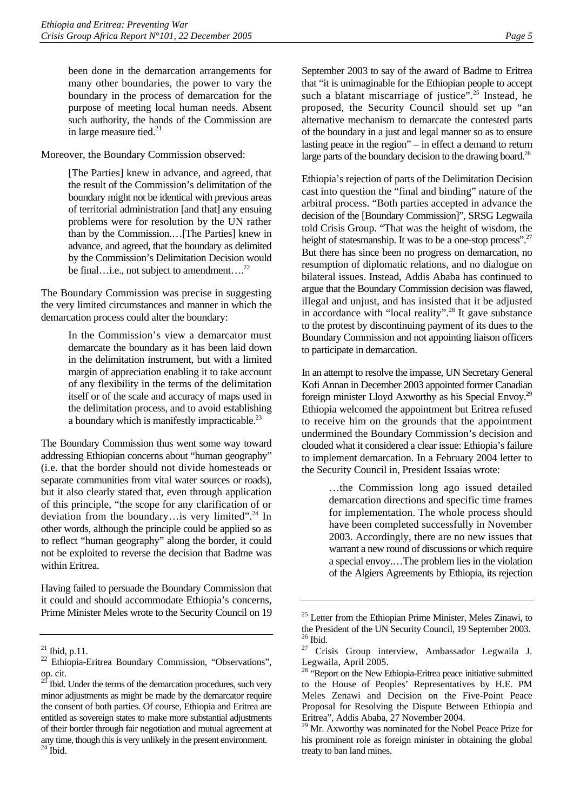been done in the demarcation arrangements for many other boundaries, the power to vary the boundary in the process of demarcation for the purpose of meeting local human needs. Absent such authority, the hands of the Commission are in large measure tied. $21$ 

Moreover, the Boundary Commission observed:

[The Parties] knew in advance, and agreed, that the result of the Commission's delimitation of the boundary might not be identical with previous areas of territorial administration [and that] any ensuing problems were for resolution by the UN rather than by the Commission.…[The Parties] knew in advance, and agreed, that the boundary as delimited by the Commission's Delimitation Decision would be final…i.e., not subject to amendment…<sup>22</sup>

The Boundary Commission was precise in suggesting the very limited circumstances and manner in which the demarcation process could alter the boundary:

> In the Commission's view a demarcator must demarcate the boundary as it has been laid down in the delimitation instrument, but with a limited margin of appreciation enabling it to take account of any flexibility in the terms of the delimitation itself or of the scale and accuracy of maps used in the delimitation process, and to avoid establishing a boundary which is manifestly impracticable.[23](#page-9-2)

The Boundary Commission thus went some way toward addressing Ethiopian concerns about "human geography" (i.e. that the border should not divide homesteads or separate communities from vital water sources or roads), but it also clearly stated that, even through application of this principle, "the scope for any clarification of or deviation from the boundary…is very limited".[24](#page-9-3) In other words, although the principle could be applied so as to reflect "human geography" along the border, it could not be exploited to reverse the decision that Badme was within Eritrea.

Having failed to persuade the Boundary Commission that it could and should accommodate Ethiopia's concerns, Prime Minister Meles wrote to the Security Council on 19

September 2003 to say of the award of Badme to Eritrea that "it is unimaginable for the Ethiopian people to accept such a blatant miscarriage of justice".<sup>25</sup> Instead, he proposed, the Security Council should set up "an alternative mechanism to demarcate the contested parts of the boundary in a just and legal manner so as to ensure lasting peace in the region" – in effect a demand to return large parts of the boundary decision to the drawing board.<sup>26</sup>

Ethiopia's rejection of parts of the Delimitation Decision cast into question the "final and binding" nature of the arbitral process. "Both parties accepted in advance the decision of the [Boundary Commission]", SRSG Legwaila told Crisis Group. "That was the height of wisdom, the height of statesmanship. It was to be a one-stop process".<sup>27</sup> But there has since been no progress on demarcation, no resumption of diplomatic relations, and no dialogue on bilateral issues. Instead, Addis Ababa has continued to argue that the Boundary Commission decision was flawed, illegal and unjust, and has insisted that it be adjusted in accordance with "local reality".<sup>28</sup> It gave substance to the protest by discontinuing payment of its dues to the Boundary Commission and not appointing liaison officers to participate in demarcation.

In an attempt to resolve the impasse, UN Secretary General Kofi Annan in December 2003 appointed former Canadian foreign minister Lloyd Axworthy as his Special Envoy.<sup>29</sup> Ethiopia welcomed the appointment but Eritrea refused to receive him on the grounds that the appointment undermined the Boundary Commission's decision and clouded what it considered a clear issue: Ethiopia's failure to implement demarcation. In a February 2004 letter to the Security Council in, President Issaias wrote:

> …the Commission long ago issued detailed demarcation directions and specific time frames for implementation. The whole process should have been completed successfully in November 2003. Accordingly, there are no new issues that warrant a new round of discussions or which require a special envoy.…The problem lies in the violation of the Algiers Agreements by Ethiopia, its rejection

<span id="page-9-0"></span> $21$  Ibid, p.11.

<span id="page-9-1"></span><sup>22</sup> Ethiopia-Eritrea Boundary Commission, "Observations", op. cit.<br> $23 \text{ m} \cdot \text{i}$ 

<span id="page-9-3"></span><span id="page-9-2"></span>Ibid. Under the terms of the demarcation procedures, such very minor adjustments as might be made by the demarcator require the consent of both parties. Of course, Ethiopia and Eritrea are entitled as sovereign states to make more substantial adjustments of their border through fair negotiation and mutual agreement at any time, though this is very unlikely in the present environment.  $^{24}$  Ibid.

<span id="page-9-4"></span><sup>&</sup>lt;sup>25</sup> Letter from the Ethiopian Prime Minister, Meles Zinawi, to the President of the UN Security Council, 19 September 2003.  $26$  Ibid.

<span id="page-9-6"></span><span id="page-9-5"></span><sup>&</sup>lt;sup>27</sup> Crisis Group interview, Ambassador Legwaila J. Legwaila, April 2005.

<span id="page-9-7"></span><sup>&</sup>lt;sup>28</sup> "Report on the New Ethiopia-Eritrea peace initiative submitted to the House of Peoples' Representatives by H.E. PM Meles Zenawi and Decision on the Five-Point Peace Proposal for Resolving the Dispute Between Ethiopia and Eritrea", Addis Ababa, 27 November 2004.

<span id="page-9-8"></span>Mr. Axworthy was nominated for the Nobel Peace Prize for his prominent role as foreign minister in obtaining the global treaty to ban land mines.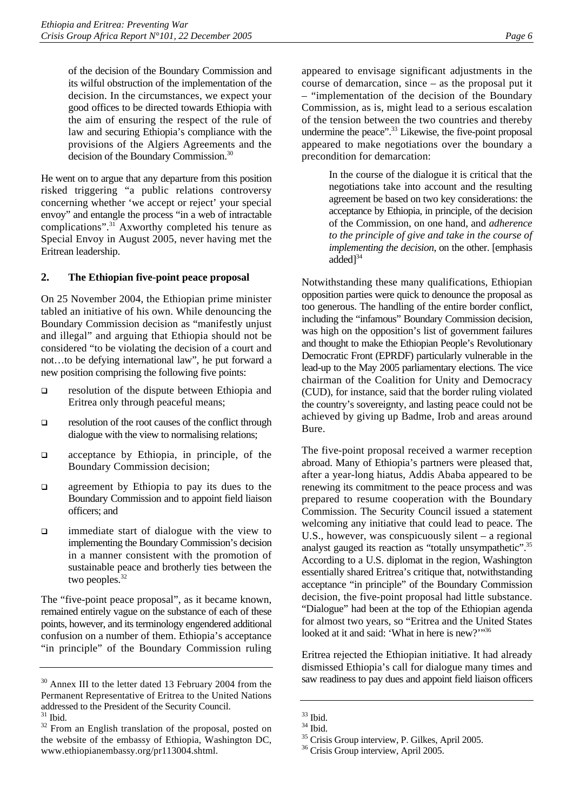of the decision of the Boundary Commission and its wilful obstruction of the implementation of the decision. In the circumstances, we expect your good offices to be directed towards Ethiopia with the aim of ensuring the respect of the rule of law and securing Ethiopia's compliance with the provisions of the Algiers Agreements and the decision of the Boundary Commission.[30](#page-10-0)

He went on to argue that any departure from this position risked triggering "a public relations controversy concerning whether 'we accept or reject' your special envoy" and entangle the process "in a web of intractable complications".[31 A](#page-10-1)xworthy completed his tenure as Special Envoy in August 2005, never having met the Eritrean leadership.

#### **2. The Ethiopian five-point peace proposal**

On 25 November 2004, the Ethiopian prime minister tabled an initiative of his own. While denouncing the Boundary Commission decision as "manifestly unjust and illegal" and arguing that Ethiopia should not be considered "to be violating the decision of a court and not…to be defying international law", he put forward a new position comprising the following five points:

- $\Box$  resolution of the dispute between Ethiopia and Eritrea only through peaceful means;
- $\Box$  resolution of the root causes of the conflict through dialogue with the view to normalising relations;
- acceptance by Ethiopia, in principle, of the Boundary Commission decision;
- $\Box$  agreement by Ethiopia to pay its dues to the Boundary Commission and to appoint field liaison officers; and
- □ immediate start of dialogue with the view to implementing the Boundary Commission's decision in a manner consistent with the promotion of sustainable peace and brotherly ties between the two peoples.<sup>[32](#page-10-2)</sup>

The "five-point peace proposal", as it became known, remained entirely vague on the substance of each of these points, however, and its terminology engendered additional confusion on a number of them. Ethiopia's acceptance "in principle" of the Boundary Commission ruling

appeared to envisage significant adjustments in the course of demarcation, since – as the proposal put it – "implementation of the decision of the Boundary Commission, as is, might lead to a serious escalation of the tension between the two countries and thereby undermine the peace".<sup>33</sup> Likewise, the five-point proposal appeared to make negotiations over the boundary a precondition for demarcation:

> In the course of the dialogue it is critical that the negotiations take into account and the resulting agreement be based on two key considerations: the acceptance by Ethiopia, in principle, of the decision of the Commission, on one hand, and *adherence to the principle of give and take in the course of implementing the decision*, on the other. [emphasis added $]^{34}$  $]^{34}$  $]^{34}$

Notwithstanding these many qualifications, Ethiopian opposition parties were quick to denounce the proposal as too generous. The handling of the entire border conflict, including the "infamous" Boundary Commission decision, was high on the opposition's list of government failures and thought to make the Ethiopian People's Revolutionary Democratic Front (EPRDF) particularly vulnerable in the lead-up to the May 2005 parliamentary elections. The vice chairman of the Coalition for Unity and Democracy (CUD), for instance, said that the border ruling violated the country's sovereignty, and lasting peace could not be achieved by giving up Badme, Irob and areas around Bure.

The five-point proposal received a warmer reception abroad. Many of Ethiopia's partners were pleased that, after a year-long hiatus, Addis Ababa appeared to be renewing its commitment to the peace process and was prepared to resume cooperation with the Boundary Commission. The Security Council issued a statement welcoming any initiative that could lead to peace. The U.S., however, was conspicuously silent – a regional analyst gauged its reaction as "totally unsympathetic".<sup>35</sup> According to a U.S. diplomat in the region, Washington essentially shared Eritrea's critique that, notwithstanding acceptance "in principle" of the Boundary Commission decision, the five-point proposal had little substance. "Dialogue" had been at the top of the Ethiopian agenda for almost two years, so "Eritrea and the United States looked at it and said: 'What in here is new?'"[36](#page-10-6)

Eritrea rejected the Ethiopian initiative. It had already dismissed Ethiopia's call for dialogue many times and saw readiness to pay dues and appoint field liaison officers

<span id="page-10-0"></span><sup>&</sup>lt;sup>30</sup> Annex III to the letter dated 13 February 2004 from the Permanent Representative of Eritrea to the United Nations addressed to the President of the Security Council.  $31$  Ibid.

<span id="page-10-2"></span><span id="page-10-1"></span>

 $32$  From an English translation of the proposal, posted on the website of the embassy of Ethiopia, Washington DC, www.ethiopianembassy.org/pr113004.shtml.

<span id="page-10-3"></span> $33$  Ibid.

<span id="page-10-4"></span> $34$  Ibid.

<span id="page-10-5"></span><sup>35</sup> Crisis Group interview, P. Gilkes, April 2005.

<span id="page-10-6"></span><sup>&</sup>lt;sup>36</sup> Crisis Group interview, April 2005.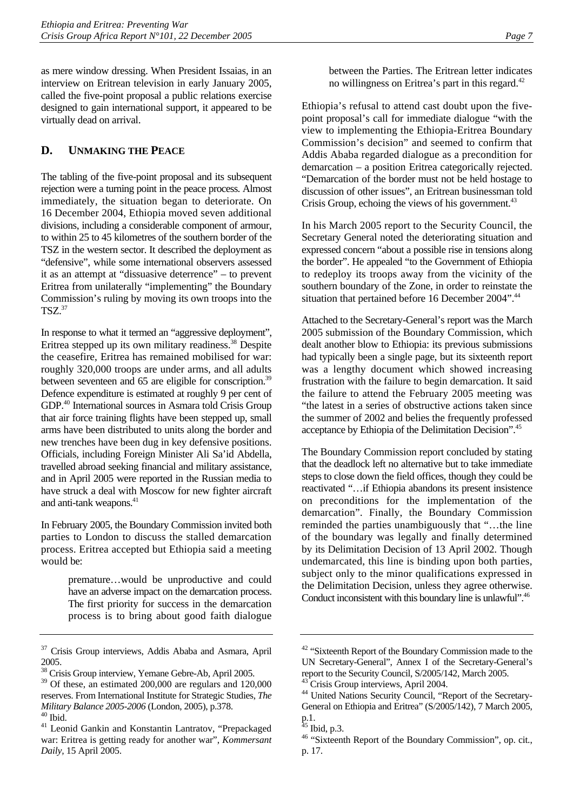as mere window dressing. When President Issaias, in an interview on Eritrean television in early January 2005, called the five-point proposal a public relations exercise designed to gain international support, it appeared to be virtually dead on arrival.

## **D. UNMAKING THE PEACE**

The tabling of the five-point proposal and its subsequent rejection were a turning point in the peace process. Almost immediately, the situation began to deteriorate. On 16 December 2004, Ethiopia moved seven additional divisions, including a considerable component of armour, to within 25 to 45 kilometres of the southern border of the TSZ in the western sector. It described the deployment as "defensive", while some international observers assessed it as an attempt at "dissuasive deterrence" – to prevent Eritrea from unilaterally "implementing" the Boundary Commission's ruling by moving its own troops into the  $TSZ<sup>37</sup>$  $TSZ<sup>37</sup>$  $TSZ<sup>37</sup>$ 

In response to what it termed an "aggressive deployment", Eritrea stepped up its own military readiness.<sup>38</sup> Despite the ceasefire, Eritrea has remained mobilised for war: roughly 320,000 troops are under arms, and all adults between seventeen and 65 are eligible for conscription.<sup>39</sup> Defence expenditure is estimated at roughly 9 per cent of GDP[.40 I](#page-11-3)nternational sources in Asmara told Crisis Group that air force training flights have been stepped up, small arms have been distributed to units along the border and new trenches have been dug in key defensive positions. Officials, including Foreign Minister Ali Sa'id Abdella, travelled abroad seeking financial and military assistance, and in April 2005 were reported in the Russian media to have struck a deal with Moscow for new fighter aircraft and anti-tank weapons.<sup>[41](#page-11-4)</sup>

In February 2005, the Boundary Commission invited both parties to London to discuss the stalled demarcation process. Eritrea accepted but Ethiopia said a meeting would be:

> premature…would be unproductive and could have an adverse impact on the demarcation process. The first priority for success in the demarcation process is to bring about good faith dialogue

Ethiopia's refusal to attend cast doubt upon the fivepoint proposal's call for immediate dialogue "with the view to implementing the Ethiopia-Eritrea Boundary Commission's decision" and seemed to confirm that Addis Ababa regarded dialogue as a precondition for demarcation – a position Eritrea categorically rejected. "Demarcation of the border must not be held hostage to discussion of other issues", an Eritrean businessman told Crisis Group, echoing the views of his government.<sup>43</sup>

In his March 2005 report to the Security Council, the Secretary General noted the deteriorating situation and expressed concern "about a possible rise in tensions along the border". He appealed "to the Government of Ethiopia to redeploy its troops away from the vicinity of the southern boundary of the Zone, in order to reinstate the situation that pertained before 16 December 2004".<sup>44</sup>

Attached to the Secretary-General's report was the March 2005 submission of the Boundary Commission, which dealt another blow to Ethiopia: its previous submissions had typically been a single page, but its sixteenth report was a lengthy document which showed increasing frustration with the failure to begin demarcation. It said the failure to attend the February 2005 meeting was "the latest in a series of obstructive actions taken since the summer of 2002 and belies the frequently professed acceptance by Ethiopia of the Delimitation Decision".[45](#page-11-8)

The Boundary Commission report concluded by stating that the deadlock left no alternative but to take immediate steps to close down the field offices, though they could be reactivated "…if Ethiopia abandons its present insistence on preconditions for the implementation of the demarcation". Finally, the Boundary Commission reminded the parties unambiguously that "…the line of the boundary was legally and finally determined by its Delimitation Decision of 13 April 2002. Though undemarcated, this line is binding upon both parties, subject only to the minor qualifications expressed in the Delimitation Decision, unless they agree otherwise. Conduct inconsistent with this boundary line is unlawful".[46](#page-11-9)

<span id="page-11-0"></span><sup>&</sup>lt;sup>37</sup> Crisis Group interviews, Addis Ababa and Asmara, April 2005.

<span id="page-11-1"></span><sup>38</sup> Crisis Group interview, Yemane Gebre-Ab, April 2005.

<span id="page-11-2"></span><sup>&</sup>lt;sup>39</sup> Of these, an estimated 200,000 are regulars and 120,000 reserves. From International Institute for Strategic Studies, *The Military Balance 2005-2006* (London, 2005), p.378. 40 Ibid.

<span id="page-11-4"></span><span id="page-11-3"></span><sup>41</sup> Leonid Gankin and Konstantin Lantratov, "Prepackaged war: Eritrea is getting ready for another war", *Kommersant Daily,* 15 April 2005.

<span id="page-11-5"></span><sup>&</sup>lt;sup>42</sup> "Sixteenth Report of the Boundary Commission made to the UN Secretary-General", Annex I of the Secretary-General's report to the Security Council, S/2005/142, March 2005. <sup>43</sup> Crisis Group interviews, April 2004.

<span id="page-11-7"></span><span id="page-11-6"></span><sup>&</sup>lt;sup>44</sup> United Nations Security Council, "Report of the Secretary-General on Ethiopia and Eritrea" (S/2005/142), 7 March 2005, p.1.

<span id="page-11-8"></span> $45$  Ibid, p.3.

<span id="page-11-9"></span><sup>46 &</sup>quot;Sixteenth Report of the Boundary Commission", op. cit., p. 17.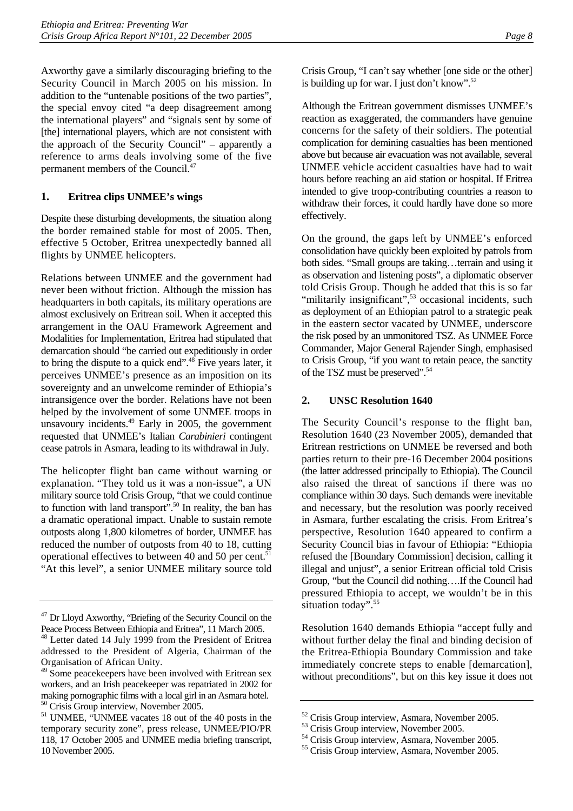Axworthy gave a similarly discouraging briefing to the Security Council in March 2005 on his mission. In addition to the "untenable positions of the two parties", the special envoy cited "a deep disagreement among the international players" and "signals sent by some of [the] international players, which are not consistent with the approach of the Security Council" – apparently a reference to arms deals involving some of the five permanent members of the Council[.47](#page-12-0)

#### **1. Eritrea clips UNMEE's wings**

Despite these disturbing developments, the situation along the border remained stable for most of 2005. Then, effective 5 October, Eritrea unexpectedly banned all flights by UNMEE helicopters.

Relations between UNMEE and the government had never been without friction. Although the mission has headquarters in both capitals, its military operations are almost exclusively on Eritrean soil. When it accepted this arrangement in the OAU Framework Agreement and Modalities for Implementation, Eritrea had stipulated that demarcation should "be carried out expeditiously in order to bring the dispute to a quick end"[.48](#page-12-1) Five years later, it perceives UNMEE's presence as an imposition on its sovereignty and an unwelcome reminder of Ethiopia's intransigence over the border. Relations have not been helped by the involvement of some UNMEE troops in unsavoury incidents.<sup>49</sup> Early in 2005, the government requested that UNMEE's Italian *Carabinieri* contingent cease patrols in Asmara, leading to its withdrawal in July.

The helicopter flight ban came without warning or explanation. "They told us it was a non-issue", a UN military source told Crisis Group, "that we could continue to function with land transport".<sup>50</sup> In reality, the ban has a dramatic operational impact. Unable to sustain remote outposts along 1,800 kilometres of border, UNMEE has reduced the number of outposts from 40 to 18, cutting operational effectives to between 40 and 50 per cent. $51$ "At this level", a senior UNMEE military source told Although the Eritrean government dismisses UNMEE's reaction as exaggerated, the commanders have genuine concerns for the safety of their soldiers. The potential complication for demining casualties has been mentioned above but because air evacuation was not available, several UNMEE vehicle accident casualties have had to wait hours before reaching an aid station or hospital. If Eritrea intended to give troop-contributing countries a reason to withdraw their forces, it could hardly have done so more effectively.

On the ground, the gaps left by UNMEE's enforced consolidation have quickly been exploited by patrols from both sides. "Small groups are taking…terrain and using it as observation and listening posts", a diplomatic observer told Crisis Group. Though he added that this is so far "militarily insignificant",<sup>53</sup> occasional incidents, such as deployment of an Ethiopian patrol to a strategic peak in the eastern sector vacated by UNMEE, underscore the risk posed by an unmonitored TSZ. As UNMEE Force Commander, Major General Rajender Singh, emphasised to Crisis Group, "if you want to retain peace, the sanctity of the TSZ must be preserved".<sup>[54](#page-12-7)</sup>

#### **2. UNSC Resolution 1640**

The Security Council's response to the flight ban, Resolution 1640 (23 November 2005), demanded that Eritrean restrictions on UNMEE be reversed and both parties return to their pre-16 December 2004 positions (the latter addressed principally to Ethiopia). The Council also raised the threat of sanctions if there was no compliance within 30 days. Such demands were inevitable and necessary, but the resolution was poorly received in Asmara, further escalating the crisis. From Eritrea's perspective, Resolution 1640 appeared to confirm a Security Council bias in favour of Ethiopia: "Ethiopia refused the [Boundary Commission] decision, calling it illegal and unjust", a senior Eritrean official told Crisis Group, "but the Council did nothing….If the Council had pressured Ethiopia to accept, we wouldn't be in this situation today".<sup>55</sup>

Resolution 1640 demands Ethiopia "accept fully and without further delay the final and binding decision of the Eritrea-Ethiopia Boundary Commission and take immediately concrete steps to enable [demarcation], without preconditions", but on this key issue it does not

<span id="page-12-0"></span><sup>&</sup>lt;sup>47</sup> Dr Lloyd Axworthy, "Briefing of the Security Council on the Peace Process Between Ethiopia and Eritrea", 11 March 2005. 48 Letter dated 14 July 1999 from the President of Eritrea

<span id="page-12-1"></span>addressed to the President of Algeria, Chairman of the Organisation of African Unity.

<span id="page-12-2"></span><sup>&</sup>lt;sup>49</sup> Some peacekeepers have been involved with Eritrean sex workers, and an Irish peacekeeper was repatriated in 2002 for making pornographic films with a local girl in an Asmara hotel. 50 Crisis Group interview, November 2005.

<span id="page-12-4"></span><span id="page-12-3"></span><sup>51</sup> UNMEE, "UNMEE vacates 18 out of the 40 posts in the temporary security zone", press release, UNMEE/PIO/PR 118, 17 October 2005 and UNMEE media briefing transcript, 10 November 2005.

<span id="page-12-5"></span><sup>52</sup> Crisis Group interview, Asmara, November 2005.

<span id="page-12-6"></span><sup>53</sup> Crisis Group interview, November 2005.

<span id="page-12-7"></span><sup>54</sup> Crisis Group interview, Asmara, November 2005.

<span id="page-12-8"></span><sup>55</sup> Crisis Group interview, Asmara, November 2005.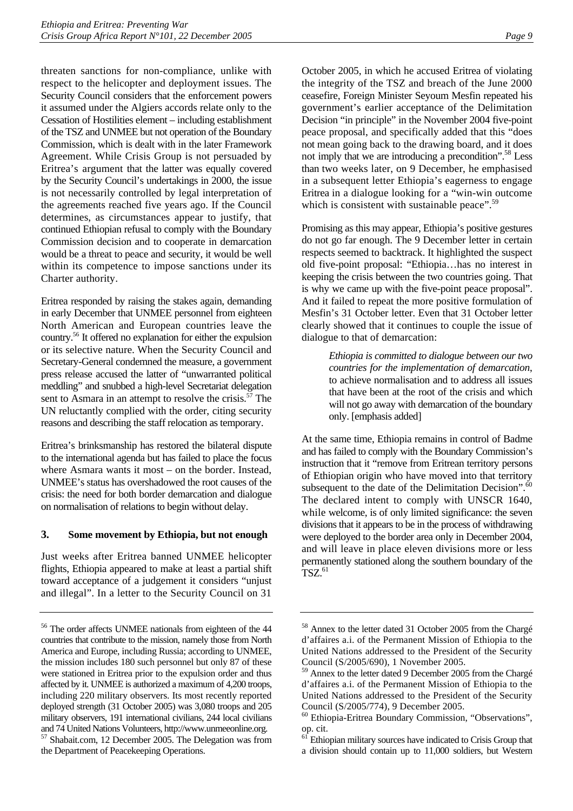threaten sanctions for non-compliance, unlike with respect to the helicopter and deployment issues. The Security Council considers that the enforcement powers it assumed under the Algiers accords relate only to the Cessation of Hostilities element – including establishment of the TSZ and UNMEE but not operation of the Boundary Commission, which is dealt with in the later Framework Agreement. While Crisis Group is not persuaded by Eritrea's argument that the latter was equally covered by the Security Council's undertakings in 2000, the issue is not necessarily controlled by legal interpretation of the agreements reached five years ago. If the Council determines, as circumstances appear to justify, that continued Ethiopian refusal to comply with the Boundary Commission decision and to cooperate in demarcation would be a threat to peace and security, it would be well within its competence to impose sanctions under its Charter authority.

Eritrea responded by raising the stakes again, demanding in early December that UNMEE personnel from eighteen North American and European countries leave the country[.56 I](#page-13-0)t offered no explanation for either the expulsion or its selective nature. When the Security Council and Secretary-General condemned the measure, a government press release accused the latter of "unwarranted political meddling" and snubbed a high-level Secretariat delegation sent to Asmara in an attempt to resolve the crisis.<sup>57</sup> The UN reluctantly complied with the order, citing security reasons and describing the staff relocation as temporary.

Eritrea's brinksmanship has restored the bilateral dispute to the international agenda but has failed to place the focus where Asmara wants it most – on the border. Instead, UNMEE's status has overshadowed the root causes of the crisis: the need for both border demarcation and dialogue on normalisation of relations to begin without delay.

#### **3. Some movement by Ethiopia, but not enough**

Just weeks after Eritrea banned UNMEE helicopter flights, Ethiopia appeared to make at least a partial shift toward acceptance of a judgement it considers "unjust and illegal". In a letter to the Security Council on 31

October 2005, in which he accused Eritrea of violating the integrity of the TSZ and breach of the June 2000 ceasefire, Foreign Minister Seyoum Mesfin repeated his government's earlier acceptance of the Delimitation Decision "in principle" in the November 2004 five-point peace proposal, and specifically added that this "does not mean going back to the drawing board, and it does not imply that we are introducing a precondition".<sup>58</sup> Less than two weeks later, on 9 December, he emphasised in a subsequent letter Ethiopia's eagerness to engage Eritrea in a dialogue looking for a "win-win outcome which is consistent with sustainable peace".<sup>[59](#page-13-3)</sup>

Promising as this may appear, Ethiopia's positive gestures do not go far enough. The 9 December letter in certain respects seemed to backtrack. It highlighted the suspect old five-point proposal: "Ethiopia…has no interest in keeping the crisis between the two countries going. That is why we came up with the five-point peace proposal". And it failed to repeat the more positive formulation of Mesfin's 31 October letter. Even that 31 October letter clearly showed that it continues to couple the issue of dialogue to that of demarcation:

> *Ethiopia is committed to dialogue between our two countries for the implementation of demarcation*, to achieve normalisation and to address all issues that have been at the root of the crisis and which will not go away with demarcation of the boundary only. [emphasis added]

At the same time, Ethiopia remains in control of Badme and has failed to comply with the Boundary Commission's instruction that it "remove from Eritrean territory persons of Ethiopian origin who have moved into that territory subsequent to the date of the Delimitation Decision".<sup>60</sup> The declared intent to comply with UNSCR 1640, while welcome, is of only limited significance: the seven divisions that it appears to be in the process of withdrawing were deployed to the border area only in December 2004, and will leave in place eleven divisions more or less permanently stationed along the southern boundary of the  $TSZ.<sup>61</sup>$  $TSZ.<sup>61</sup>$  $TSZ.<sup>61</sup>$ 

<span id="page-13-1"></span><span id="page-13-0"></span><sup>56</sup> The order affects UNMEE nationals from eighteen of the 44 countries that contribute to the mission, namely those from North America and Europe, including Russia; according to UNMEE, the mission includes 180 such personnel but only 87 of these were stationed in Eritrea prior to the expulsion order and thus affected by it. UNMEE is authorized a maximum of 4,200 troops, including 220 military observers. Its most recently reported deployed strength (31 October 2005) was 3,080 troops and 205 military observers, 191 international civilians, 244 local civilians and 74 United Nations Volunteers, http://www.unmeeonline.org. 57 Shabait.com, 12 December 2005. The Delegation was from the Department of Peacekeeping Operations.

<span id="page-13-2"></span><sup>58</sup> Annex to the letter dated 31 October 2005 from the Chargé d'affaires a.i. of the Permanent Mission of Ethiopia to the United Nations addressed to the President of the Security Council (S/2005/690), 1 November 2005.

<span id="page-13-3"></span><sup>59</sup> Annex to the letter dated 9 December 2005 from the Chargé d'affaires a.i. of the Permanent Mission of Ethiopia to the United Nations addressed to the President of the Security Council (S/2005/774), 9 December 2005.

<span id="page-13-4"></span><sup>60</sup> Ethiopia-Eritrea Boundary Commission, "Observations", op. cit.<br> $61$ <sub>Ethio</sub>

<span id="page-13-5"></span>Ethiopian military sources have indicated to Crisis Group that a division should contain up to 11,000 soldiers, but Western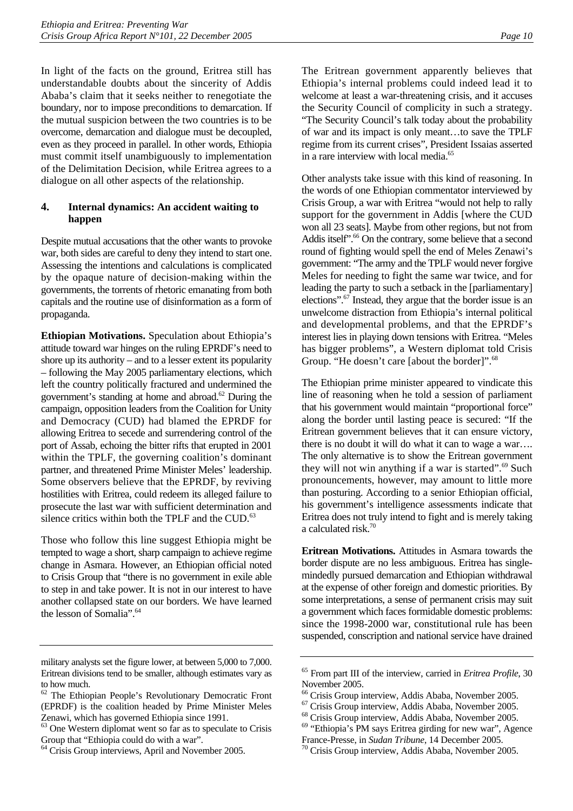In light of the facts on the ground, Eritrea still has understandable doubts about the sincerity of Addis Ababa's claim that it seeks neither to renegotiate the boundary, nor to impose preconditions to demarcation. If the mutual suspicion between the two countries is to be overcome, demarcation and dialogue must be decoupled, even as they proceed in parallel. In other words, Ethiopia must commit itself unambiguously to implementation of the Delimitation Decision, while Eritrea agrees to a dialogue on all other aspects of the relationship.

#### **4. Internal dynamics: An accident waiting to happen**

Despite mutual accusations that the other wants to provoke war, both sides are careful to deny they intend to start one. Assessing the intentions and calculations is complicated by the opaque nature of decision-making within the governments, the torrents of rhetoric emanating from both capitals and the routine use of disinformation as a form of propaganda.

**Ethiopian Motivations.** Speculation about Ethiopia's attitude toward war hinges on the ruling EPRDF's need to shore up its authority – and to a lesser extent its popularity – following the May 2005 parliamentary elections, which left the country politically fractured and undermined the government's standing at home and abroad[.62 D](#page-14-0)uring the campaign, opposition leaders from the Coalition for Unity and Democracy (CUD) had blamed the EPRDF for allowing Eritrea to secede and surrendering control of the port of Assab, echoing the bitter rifts that erupted in 2001 within the TPLF, the governing coalition's dominant partner, and threatened Prime Minister Meles' leadership. Some observers believe that the EPRDF, by reviving hostilities with Eritrea, could redeem its alleged failure to prosecute the last war with sufficient determination and silence critics within both the TPLF and the CUD. $^{63}$ 

Those who follow this line suggest Ethiopia might be tempted to wage a short, sharp campaign to achieve regime change in Asmara. However, an Ethiopian official noted to Crisis Group that "there is no government in exile able to step in and take power. It is not in our interest to have another collapsed state on our borders. We have learned the lesson of Somalia".<sup>64</sup>

The Eritrean government apparently believes that Ethiopia's internal problems could indeed lead it to welcome at least a war-threatening crisis, and it accuses the Security Council of complicity in such a strategy. "The Security Council's talk today about the probability of war and its impact is only meant…to save the TPLF regime from its current crises", President Issaias asserted in a rare interview with local media.<sup>65</sup>

Other analysts take issue with this kind of reasoning. In the words of one Ethiopian commentator interviewed by Crisis Group, a war with Eritrea "would not help to rally support for the government in Addis [where the CUD won all 23 seats]. Maybe from other regions, but not from Addis itself<sup>".66</sup> On the contrary, some believe that a second round of fighting would spell the end of Meles Zenawi's government: "The army and the TPLF would never forgive Meles for needing to fight the same war twice, and for leading the party to such a setback in the [parliamentary] elections".[67 I](#page-14-5)nstead, they argue that the border issue is an unwelcome distraction from Ethiopia's internal political and developmental problems, and that the EPRDF's interest lies in playing down tensions with Eritrea. "Meles has bigger problems", a Western diplomat told Crisis Group. "He doesn't care [about the border]".<sup>[68](#page-14-6)</sup>

The Ethiopian prime minister appeared to vindicate this line of reasoning when he told a session of parliament that his government would maintain "proportional force" along the border until lasting peace is secured: "If the Eritrean government believes that it can ensure victory, there is no doubt it will do what it can to wage a war…. The only alternative is to show the Eritrean government they will not win anything if a war is started". $69$  Such pronouncements, however, may amount to little more than posturing. According to a senior Ethiopian official, his government's intelligence assessments indicate that Eritrea does not truly intend to fight and is merely taking a calculated risk[.70](#page-14-8)

**Eritrean Motivations.** Attitudes in Asmara towards the border dispute are no less ambiguous. Eritrea has singlemindedly pursued demarcation and Ethiopian withdrawal at the expense of other foreign and domestic priorities. By some interpretations, a sense of permanent crisis may suit a government which faces formidable domestic problems: since the 1998-2000 war, constitutional rule has been suspended, conscription and national service have drained

military analysts set the figure lower, at between 5,000 to 7,000. Eritrean divisions tend to be smaller, although estimates vary as to how much.

<span id="page-14-0"></span><sup>62</sup> The Ethiopian People's Revolutionary Democratic Front (EPRDF) is the coalition headed by Prime Minister Meles Zenawi, which has governed Ethiopia since 1991.

<span id="page-14-1"></span><sup>63</sup> One Western diplomat went so far as to speculate to Crisis Group that "Ethiopia could do with a war".

<span id="page-14-2"></span><sup>&</sup>lt;sup>64</sup> Crisis Group interviews, April and November 2005.

<span id="page-14-3"></span><sup>65</sup> From part III of the interview, carried in *Eritrea Profile*, 30 November 2005.

<span id="page-14-4"></span><sup>66</sup> Crisis Group interview, Addis Ababa, November 2005.

<span id="page-14-5"></span><sup>67</sup> Crisis Group interview, Addis Ababa, November 2005.

<span id="page-14-6"></span><sup>68</sup> Crisis Group interview, Addis Ababa, November 2005.

<span id="page-14-7"></span><sup>69 &</sup>quot;Ethiopia's PM says Eritrea girding for new war", Agence

<span id="page-14-8"></span>France-Presse, in *Sudan Tribune*, 14 December 2005. 70 Crisis Group interview, Addis Ababa, November 2005.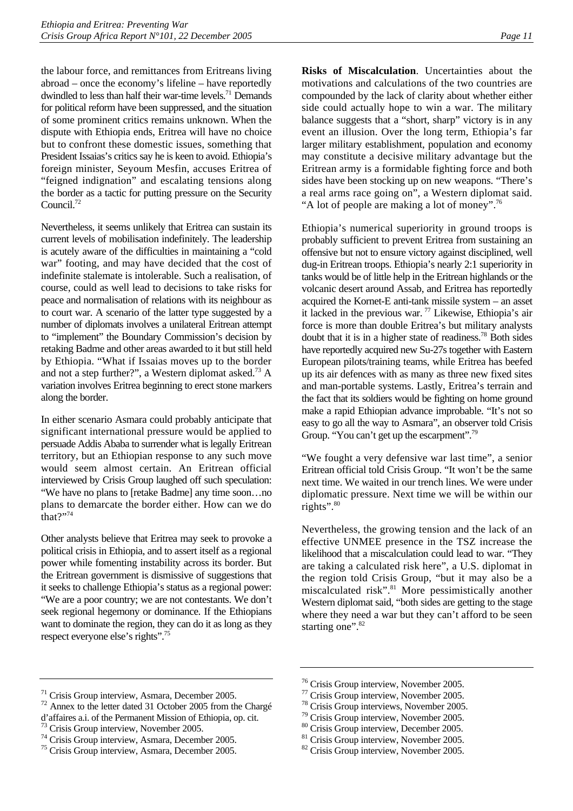the labour force, and remittances from Eritreans living abroad – once the economy's lifeline – have reportedly dwindled to less than half their war-time levels.<sup>71</sup> Demands for political reform have been suppressed, and the situation of some prominent critics remains unknown. When the dispute with Ethiopia ends, Eritrea will have no choice but to confront these domestic issues, something that President Issaias's critics say he is keen to avoid. Ethiopia's foreign minister, Seyoum Mesfin, accuses Eritrea of "feigned indignation" and escalating tensions along the border as a tactic for putting pressure on the Security Council.<sup>72</sup>

Nevertheless, it seems unlikely that Eritrea can sustain its current levels of mobilisation indefinitely. The leadership is acutely aware of the difficulties in maintaining a "cold war" footing, and may have decided that the cost of indefinite stalemate is intolerable. Such a realisation, of course, could as well lead to decisions to take risks for peace and normalisation of relations with its neighbour as to court war. A scenario of the latter type suggested by a number of diplomats involves a unilateral Eritrean attempt to "implement" the Boundary Commission's decision by retaking Badme and other areas awarded to it but still held by Ethiopia. "What if Issaias moves up to the border and not a step further?", a Western diplomat asked.<sup>73</sup> A variation involves Eritrea beginning to erect stone markers along the border.

In either scenario Asmara could probably anticipate that significant international pressure would be applied to persuade Addis Ababa to surrender what is legally Eritrean territory, but an Ethiopian response to any such move would seem almost certain. An Eritrean official interviewed by Crisis Group laughed off such speculation: "We have no plans to [retake Badme] any time soon…no plans to demarcate the border either. How can we do  $that$ ?"<sup>[74](#page-15-3)</sup>

Other analysts believe that Eritrea may seek to provoke a political crisis in Ethiopia, and to assert itself as a regional power while fomenting instability across its border. But the Eritrean government is dismissive of suggestions that it seeks to challenge Ethiopia's status as a regional power: "We are a poor country; we are not contestants. We don't seek regional hegemony or dominance. If the Ethiopians want to dominate the region, they can do it as long as they respect everyone else's rights".[75](#page-15-4)

**Risks of Miscalculation**. Uncertainties about the motivations and calculations of the two countries are compounded by the lack of clarity about whether either side could actually hope to win a war. The military balance suggests that a "short, sharp" victory is in any event an illusion. Over the long term, Ethiopia's far larger military establishment, population and economy may constitute a decisive military advantage but the Eritrean army is a formidable fighting force and both sides have been stocking up on new weapons. "There's a real arms race going on", a Western diplomat said. "A lot of people are making a lot of money".<sup>76</sup>

Ethiopia's numerical superiority in ground troops is probably sufficient to prevent Eritrea from sustaining an offensive but not to ensure victory against disciplined, well dug-in Eritrean troops. Ethiopia's nearly 2:1 superiority in tanks would be of little help in the Eritrean highlands or the volcanic desert around Assab, and Eritrea has reportedly acquired the Kornet-E anti-tank missile system – an asset it lacked in the previous war. [77 L](#page-15-6)ikewise, Ethiopia's air force is more than double Eritrea's but military analysts doubt that it is in a higher state of readiness.<sup>78</sup> Both sides have reportedly acquired new Su-27s together with Eastern European pilots/training teams, while Eritrea has beefed up its air defences with as many as three new fixed sites and man-portable systems. Lastly, Eritrea's terrain and the fact that its soldiers would be fighting on home ground make a rapid Ethiopian advance improbable. "It's not so easy to go all the way to Asmara", an observer told Crisis Group. "You can't get up the escarpment".<sup>[79](#page-15-8)</sup>

"We fought a very defensive war last time", a senior Eritrean official told Crisis Group. "It won't be the same next time. We waited in our trench lines. We were under diplomatic pressure. Next time we will be within our rights".<sup>[80](#page-15-9)</sup>

Nevertheless, the growing tension and the lack of an effective UNMEE presence in the TSZ increase the likelihood that a miscalculation could lead to war. "They are taking a calculated risk here", a U.S. diplomat in the region told Crisis Group, "but it may also be a miscalculated risk".<sup>81</sup> More pessimistically another Western diplomat said, "both sides are getting to the stage where they need a war but they can't afford to be seen starting one".<sup>[82](#page-15-11)</sup>

<span id="page-15-2"></span>73 Crisis Group interview, November 2005.

- <span id="page-15-7"></span>78 Crisis Group interviews, November 2005.
- <span id="page-15-8"></span>79 Crisis Group interview, November 2005.

<span id="page-15-0"></span><sup>71</sup> Crisis Group interview, Asmara, December 2005.

<span id="page-15-1"></span><sup>72</sup> Annex to the letter dated 31 October 2005 from the Chargé d'affaires a.i. of the Permanent Mission of Ethiopia, op. cit.

<span id="page-15-3"></span><sup>74</sup> Crisis Group interview, Asmara, December 2005.

<span id="page-15-4"></span><sup>75</sup> Crisis Group interview, Asmara, December 2005.

<span id="page-15-5"></span><sup>76</sup> Crisis Group interview, November 2005.

<span id="page-15-6"></span><sup>77</sup> Crisis Group interview, November 2005.

<span id="page-15-9"></span><sup>80</sup> Crisis Group interview, December 2005.

<span id="page-15-10"></span><sup>&</sup>lt;sup>81</sup> Crisis Group interview, November 2005.

<span id="page-15-11"></span><sup>&</sup>lt;sup>82</sup> Crisis Group interview, November 2005.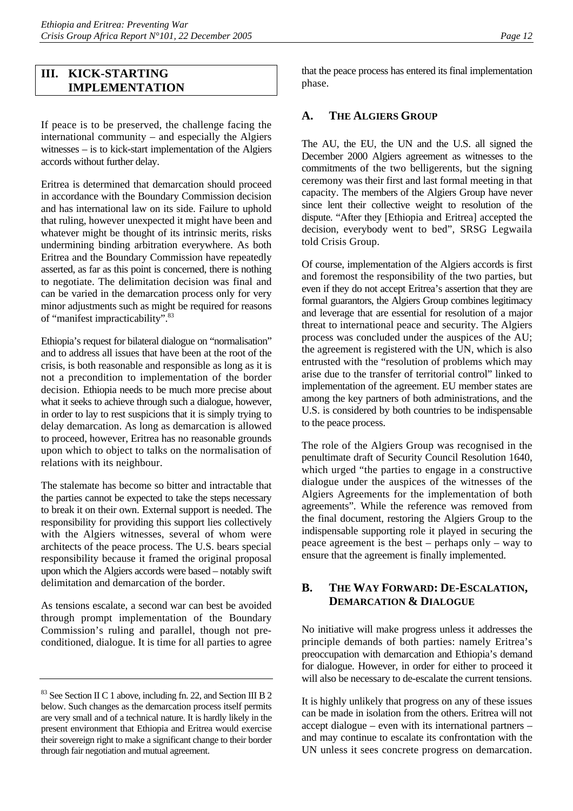## **III. KICK-STARTING IMPLEMENTATION**

If peace is to be preserved, the challenge facing the international community – and especially the Algiers witnesses – is to kick-start implementation of the Algiers accords without further delay.

Eritrea is determined that demarcation should proceed in accordance with the Boundary Commission decision and has international law on its side. Failure to uphold that ruling, however unexpected it might have been and whatever might be thought of its intrinsic merits, risks undermining binding arbitration everywhere. As both Eritrea and the Boundary Commission have repeatedly asserted, as far as this point is concerned, there is nothing to negotiate. The delimitation decision was final and can be varied in the demarcation process only for very minor adjustments such as might be required for reasons of "manifest impracticability".[83](#page-16-0) 

Ethiopia's request for bilateral dialogue on "normalisation" and to address all issues that have been at the root of the crisis, is both reasonable and responsible as long as it is not a precondition to implementation of the border decision. Ethiopia needs to be much more precise about what it seeks to achieve through such a dialogue, however, in order to lay to rest suspicions that it is simply trying to delay demarcation. As long as demarcation is allowed to proceed, however, Eritrea has no reasonable grounds upon which to object to talks on the normalisation of relations with its neighbour.

The stalemate has become so bitter and intractable that the parties cannot be expected to take the steps necessary to break it on their own. External support is needed. The responsibility for providing this support lies collectively with the Algiers witnesses, several of whom were architects of the peace process. The U.S. bears special responsibility because it framed the original proposal upon which the Algiers accords were based – notably swift delimitation and demarcation of the border.

As tensions escalate, a second war can best be avoided through prompt implementation of the Boundary Commission's ruling and parallel, though not preconditioned, dialogue. It is time for all parties to agree that the peace process has entered its final implementation phase.

## **A. THE ALGIERS GROUP**

The AU, the EU, the UN and the U.S. all signed the December 2000 Algiers agreement as witnesses to the commitments of the two belligerents, but the signing ceremony was their first and last formal meeting in that capacity. The members of the Algiers Group have never since lent their collective weight to resolution of the dispute. "After they [Ethiopia and Eritrea] accepted the decision, everybody went to bed", SRSG Legwaila told Crisis Group.

Of course, implementation of the Algiers accords is first and foremost the responsibility of the two parties, but even if they do not accept Eritrea's assertion that they are formal guarantors, the Algiers Group combines legitimacy and leverage that are essential for resolution of a major threat to international peace and security. The Algiers process was concluded under the auspices of the AU; the agreement is registered with the UN, which is also entrusted with the "resolution of problems which may arise due to the transfer of territorial control" linked to implementation of the agreement. EU member states are among the key partners of both administrations, and the U.S. is considered by both countries to be indispensable to the peace process.

The role of the Algiers Group was recognised in the penultimate draft of Security Council Resolution 1640, which urged "the parties to engage in a constructive dialogue under the auspices of the witnesses of the Algiers Agreements for the implementation of both agreements". While the reference was removed from the final document, restoring the Algiers Group to the indispensable supporting role it played in securing the peace agreement is the best – perhaps only – way to ensure that the agreement is finally implemented.

## **B. THE WAY FORWARD: DE-ESCALATION, DEMARCATION & DIALOGUE**

No initiative will make progress unless it addresses the principle demands of both parties: namely Eritrea's preoccupation with demarcation and Ethiopia's demand for dialogue. However, in order for either to proceed it will also be necessary to de-escalate the current tensions.

It is highly unlikely that progress on any of these issues can be made in isolation from the others. Eritrea will not accept dialogue – even with its international partners – and may continue to escalate its confrontation with the UN unless it sees concrete progress on demarcation.

<span id="page-16-0"></span><sup>83</sup> See Section II C 1 above, including fn. 22, and Section III B 2 below. Such changes as the demarcation process itself permits are very small and of a technical nature. It is hardly likely in the present environment that Ethiopia and Eritrea would exercise their sovereign right to make a significant change to their border through fair negotiation and mutual agreement.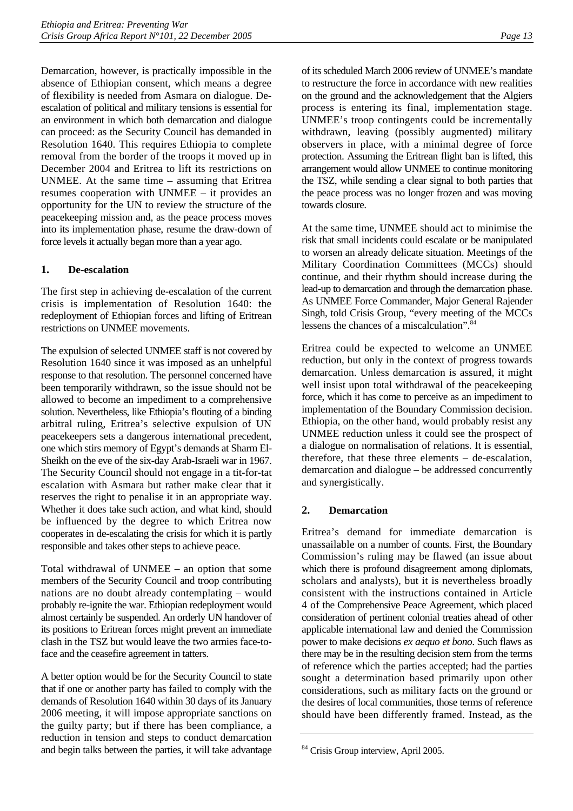Demarcation, however, is practically impossible in the absence of Ethiopian consent, which means a degree of flexibility is needed from Asmara on dialogue. Deescalation of political and military tensions is essential for an environment in which both demarcation and dialogue can proceed: as the Security Council has demanded in Resolution 1640. This requires Ethiopia to complete removal from the border of the troops it moved up in December 2004 and Eritrea to lift its restrictions on UNMEE. At the same time – assuming that Eritrea resumes cooperation with UNMEE – it provides an opportunity for the UN to review the structure of the peacekeeping mission and, as the peace process moves into its implementation phase, resume the draw-down of force levels it actually began more than a year ago.

### **1. De-escalation**

The first step in achieving de-escalation of the current crisis is implementation of Resolution 1640: the redeployment of Ethiopian forces and lifting of Eritrean restrictions on UNMEE movements.

The expulsion of selected UNMEE staff is not covered by Resolution 1640 since it was imposed as an unhelpful response to that resolution. The personnel concerned have been temporarily withdrawn, so the issue should not be allowed to become an impediment to a comprehensive solution. Nevertheless, like Ethiopia's flouting of a binding arbitral ruling, Eritrea's selective expulsion of UN peacekeepers sets a dangerous international precedent, one which stirs memory of Egypt's demands at Sharm El-Sheikh on the eve of the six-day Arab-Israeli war in 1967. The Security Council should not engage in a tit-for-tat escalation with Asmara but rather make clear that it reserves the right to penalise it in an appropriate way. Whether it does take such action, and what kind, should be influenced by the degree to which Eritrea now cooperates in de-escalating the crisis for which it is partly responsible and takes other steps to achieve peace.

Total withdrawal of UNMEE – an option that some members of the Security Council and troop contributing nations are no doubt already contemplating – would probably re-ignite the war. Ethiopian redeployment would almost certainly be suspended. An orderly UN handover of its positions to Eritrean forces might prevent an immediate clash in the TSZ but would leave the two armies face-toface and the ceasefire agreement in tatters.

A better option would be for the Security Council to state that if one or another party has failed to comply with the demands of Resolution 1640 within 30 days of its January 2006 meeting, it will impose appropriate sanctions on the guilty party; but if there has been compliance, a reduction in tension and steps to conduct demarcation and begin talks between the parties, it will take advantage

of its scheduled March 2006 review of UNMEE's mandate to restructure the force in accordance with new realities on the ground and the acknowledgement that the Algiers process is entering its final, implementation stage. UNMEE's troop contingents could be incrementally withdrawn, leaving (possibly augmented) military observers in place, with a minimal degree of force protection. Assuming the Eritrean flight ban is lifted, this arrangement would allow UNMEE to continue monitoring the TSZ, while sending a clear signal to both parties that the peace process was no longer frozen and was moving towards closure.

At the same time, UNMEE should act to minimise the risk that small incidents could escalate or be manipulated to worsen an already delicate situation. Meetings of the Military Coordination Committees (MCCs) should continue, and their rhythm should increase during the lead-up to demarcation and through the demarcation phase. As UNMEE Force Commander, Major General Rajender Singh, told Crisis Group, "every meeting of the MCCs lessens the chances of a miscalculation".

Eritrea could be expected to welcome an UNMEE reduction, but only in the context of progress towards demarcation. Unless demarcation is assured, it might well insist upon total withdrawal of the peacekeeping force, which it has come to perceive as an impediment to implementation of the Boundary Commission decision. Ethiopia, on the other hand, would probably resist any UNMEE reduction unless it could see the prospect of a dialogue on normalisation of relations. It is essential, therefore, that these three elements – de-escalation, demarcation and dialogue – be addressed concurrently and synergistically.

#### **2. Demarcation**

Eritrea's demand for immediate demarcation is unassailable on a number of counts. First, the Boundary Commission's ruling may be flawed (an issue about which there is profound disagreement among diplomats, scholars and analysts), but it is nevertheless broadly consistent with the instructions contained in Article 4 of the Comprehensive Peace Agreement, which placed consideration of pertinent colonial treaties ahead of other applicable international law and denied the Commission power to make decisions *ex aequo et bono*. Such flaws as there may be in the resulting decision stem from the terms of reference which the parties accepted; had the parties sought a determination based primarily upon other considerations, such as military facts on the ground or the desires of local communities, those terms of reference should have been differently framed. Instead, as the

<span id="page-17-0"></span><sup>&</sup>lt;sup>84</sup> Crisis Group interview, April 2005.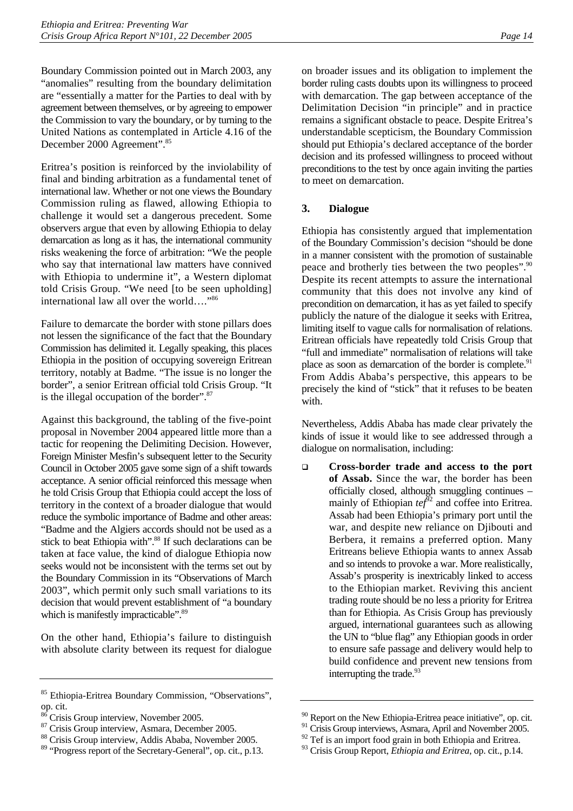Boundary Commission pointed out in March 2003, any "anomalies" resulting from the boundary delimitation are "essentially a matter for the Parties to deal with by agreement between themselves, or by agreeing to empower the Commission to vary the boundary, or by turning to the United Nations as contemplated in Article 4.16 of the December 2000 Agreement".[85](#page-18-0)

Eritrea's position is reinforced by the inviolability of final and binding arbitration as a fundamental tenet of international law. Whether or not one views the Boundary Commission ruling as flawed, allowing Ethiopia to challenge it would set a dangerous precedent. Some observers argue that even by allowing Ethiopia to delay demarcation as long as it has, the international community risks weakening the force of arbitration: "We the people who say that international law matters have connived with Ethiopia to undermine it", a Western diplomat told Crisis Group. "We need [to be seen upholding] international law all over the world…."[86](#page-18-1)

Failure to demarcate the border with stone pillars does not lessen the significance of the fact that the Boundary Commission has delimited it. Legally speaking, this places Ethiopia in the position of occupying sovereign Eritrean territory, notably at Badme. "The issue is no longer the border", a senior Eritrean official told Crisis Group. "It is the illegal occupation of the border".[87](#page-18-2) 

Against this background, the tabling of the five-point proposal in November 2004 appeared little more than a tactic for reopening the Delimiting Decision. However, Foreign Minister Mesfin's subsequent letter to the Security Council in October 2005 gave some sign of a shift towards acceptance. A senior official reinforced this message when he told Crisis Group that Ethiopia could accept the loss of territory in the context of a broader dialogue that would reduce the symbolic importance of Badme and other areas: "Badme and the Algiers accords should not be used as a stick to beat Ethiopia with".<sup>88</sup> If such declarations can be taken at face value, the kind of dialogue Ethiopia now seeks would not be inconsistent with the terms set out by the Boundary Commission in its "Observations of March 2003", which permit only such small variations to its decision that would prevent establishment of "a boundary which is manifestly impracticable".<sup>89</sup>

On the other hand, Ethiopia's failure to distinguish with absolute clarity between its request for dialogue on broader issues and its obligation to implement the border ruling casts doubts upon its willingness to proceed with demarcation. The gap between acceptance of the Delimitation Decision "in principle" and in practice remains a significant obstacle to peace. Despite Eritrea's understandable scepticism, the Boundary Commission should put Ethiopia's declared acceptance of the border decision and its professed willingness to proceed without preconditions to the test by once again inviting the parties to meet on demarcation.

#### **3. Dialogue**

Ethiopia has consistently argued that implementation of the Boundary Commission's decision "should be done in a manner consistent with the promotion of sustainable peace and brotherly ties between the two peoples".<sup>90</sup> Despite its recent attempts to assure the international community that this does not involve any kind of precondition on demarcation, it has as yet failed to specify publicly the nature of the dialogue it seeks with Eritrea, limiting itself to vague calls for normalisation of relations. Eritrean officials have repeatedly told Crisis Group that "full and immediate" normalisation of relations will take place as soon as demarcation of the border is complete.<sup>91</sup> From Addis Ababa's perspective, this appears to be precisely the kind of "stick" that it refuses to be beaten with.

Nevertheless, Addis Ababa has made clear privately the kinds of issue it would like to see addressed through a dialogue on normalisation, including:

 **Cross-border trade and access to the port of Assab.** Since the war, the border has been officially closed, although smuggling continues – mainly of Ethiopian  $te^{i\theta^2}$  and coffee into Eritrea. Assab had been Ethiopia's primary port until the war, and despite new reliance on Djibouti and Berbera, it remains a preferred option. Many Eritreans believe Ethiopia wants to annex Assab and so intends to provoke a war. More realistically, Assab's prosperity is inextricably linked to access to the Ethiopian market. Reviving this ancient trading route should be no less a priority for Eritrea than for Ethiopia. As Crisis Group has previously argued, international guarantees such as allowing the UN to "blue flag" any Ethiopian goods in order to ensure safe passage and delivery would help to build confidence and prevent new tensions from interrupting the trade.<sup>[93](#page-18-8)</sup>

<span id="page-18-0"></span><sup>85</sup> Ethiopia-Eritrea Boundary Commission, "Observations", op. cit.

<span id="page-18-1"></span><sup>&</sup>lt;sup>86</sup> Crisis Group interview, November 2005.

<span id="page-18-2"></span><sup>87</sup> Crisis Group interview, Asmara, December 2005.

<span id="page-18-3"></span><sup>88</sup> Crisis Group interview, Addis Ababa, November 2005.

<span id="page-18-4"></span><sup>89 &</sup>quot;Progress report of the Secretary-General", op. cit., p.13.

<span id="page-18-5"></span><sup>&</sup>lt;sup>90</sup> Report on the New Ethiopia-Eritrea peace initiative", op. cit.

<span id="page-18-6"></span> $91$  Crisis Group interviews, Asmara, April and November 2005.

<span id="page-18-7"></span> $92$  Tef is an import food grain in both Ethiopia and Eritrea.

<span id="page-18-8"></span><sup>93</sup> Crisis Group Report, *Ethiopia and Eritrea*, op. cit., p.14.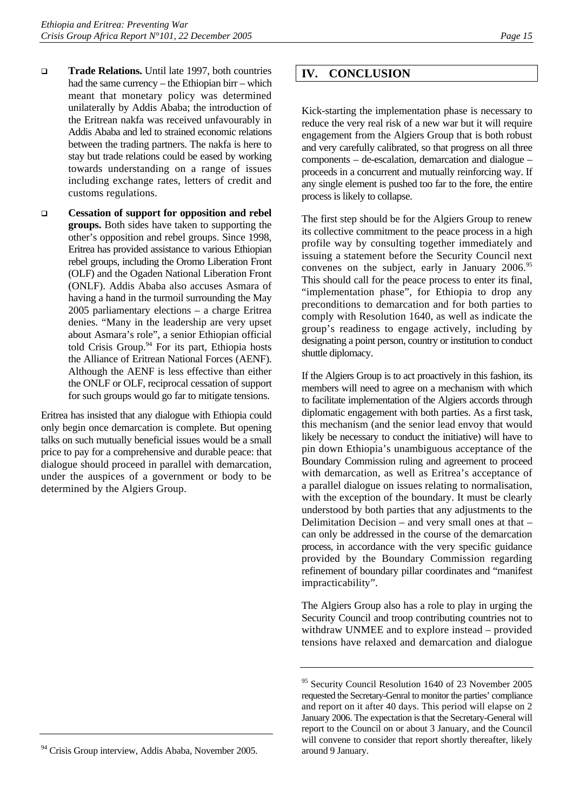- **Trade Relations.** Until late 1997, both countries had the same currency – the Ethiopian birr – which meant that monetary policy was determined unilaterally by Addis Ababa; the introduction of the Eritrean nakfa was received unfavourably in Addis Ababa and led to strained economic relations between the trading partners. The nakfa is here to stay but trade relations could be eased by working towards understanding on a range of issues including exchange rates, letters of credit and customs regulations.
- **Cessation of support for opposition and rebel groups.** Both sides have taken to supporting the other's opposition and rebel groups. Since 1998, Eritrea has provided assistance to various Ethiopian rebel groups, including the Oromo Liberation Front (OLF) and the Ogaden National Liberation Front (ONLF). Addis Ababa also accuses Asmara of having a hand in the turmoil surrounding the May 2005 parliamentary elections – a charge Eritrea denies. "Many in the leadership are very upset about Asmara's role", a senior Ethiopian official told Crisis Group.<sup>94</sup> For its part, Ethiopia hosts the Alliance of Eritrean National Forces (AENF). Although the AENF is less effective than either the ONLF or OLF, reciprocal cessation of support for such groups would go far to mitigate tensions.

Eritrea has insisted that any dialogue with Ethiopia could only begin once demarcation is complete. But opening talks on such mutually beneficial issues would be a small price to pay for a comprehensive and durable peace: that dialogue should proceed in parallel with demarcation, under the auspices of a government or body to be determined by the Algiers Group.

### **IV. CONCLUSION**

Kick-starting the implementation phase is necessary to reduce the very real risk of a new war but it will require engagement from the Algiers Group that is both robust and very carefully calibrated, so that progress on all three components – de-escalation, demarcation and dialogue – proceeds in a concurrent and mutually reinforcing way. If any single element is pushed too far to the fore, the entire process is likely to collapse.

The first step should be for the Algiers Group to renew its collective commitment to the peace process in a high profile way by consulting together immediately and issuing a statement before the Security Council next convenes on the subject, early in January 2006.<sup>95</sup> This should call for the peace process to enter its final, "implementation phase", for Ethiopia to drop any preconditions to demarcation and for both parties to comply with Resolution 1640, as well as indicate the group's readiness to engage actively, including by designating a point person, country or institution to conduct shuttle diplomacy.

If the Algiers Group is to act proactively in this fashion, its members will need to agree on a mechanism with which to facilitate implementation of the Algiers accords through diplomatic engagement with both parties. As a first task, this mechanism (and the senior lead envoy that would likely be necessary to conduct the initiative) will have to pin down Ethiopia's unambiguous acceptance of the Boundary Commission ruling and agreement to proceed with demarcation, as well as Eritrea's acceptance of a parallel dialogue on issues relating to normalisation, with the exception of the boundary. It must be clearly understood by both parties that any adjustments to the Delimitation Decision – and very small ones at that – can only be addressed in the course of the demarcation process, in accordance with the very specific guidance provided by the Boundary Commission regarding refinement of boundary pillar coordinates and "manifest impracticability".

The Algiers Group also has a role to play in urging the Security Council and troop contributing countries not to withdraw UNMEE and to explore instead – provided tensions have relaxed and demarcation and dialogue

<span id="page-19-1"></span><sup>&</sup>lt;sup>95</sup> Security Council Resolution 1640 of 23 November 2005 requested the Secretary-Genral to monitor the parties' compliance and report on it after 40 days. This period will elapse on 2 January 2006. The expectation is that the Secretary-General will report to the Council on or about 3 January, and the Council will convene to consider that report shortly thereafter, likely around 9 January.

<span id="page-19-0"></span><sup>&</sup>lt;sup>94</sup> Crisis Group interview, Addis Ababa, November 2005.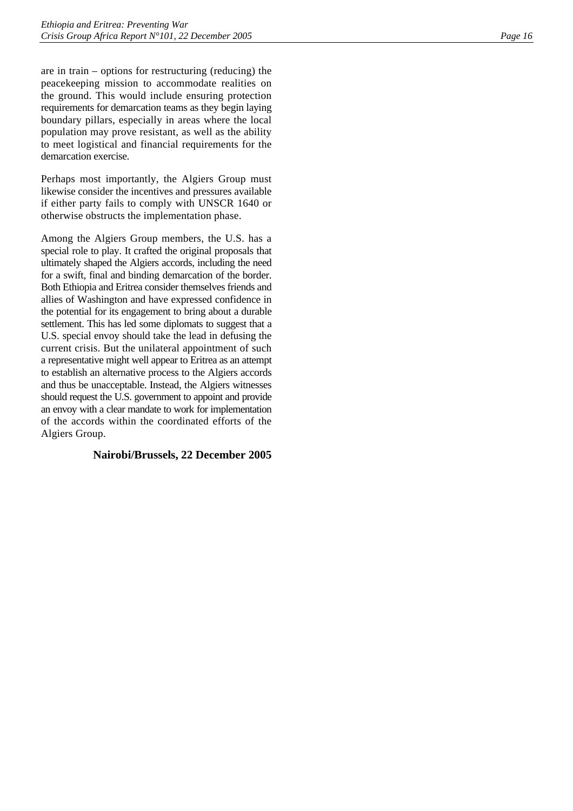are in train – options for restructuring (reducing) the peacekeeping mission to accommodate realities on the ground. This would include ensuring protection requirements for demarcation teams as they begin laying boundary pillars, especially in areas where the local population may prove resistant, as well as the ability to meet logistical and financial requirements for the demarcation exercise.

Perhaps most importantly, the Algiers Group must likewise consider the incentives and pressures available if either party fails to comply with UNSCR 1640 or otherwise obstructs the implementation phase.

Among the Algiers Group members, the U.S. has a special role to play. It crafted the original proposals that ultimately shaped the Algiers accords, including the need for a swift, final and binding demarcation of the border. Both Ethiopia and Eritrea consider themselves friends and allies of Washington and have expressed confidence in the potential for its engagement to bring about a durable settlement. This has led some diplomats to suggest that a U.S. special envoy should take the lead in defusing the current crisis. But the unilateral appointment of such a representative might well appear to Eritrea as an attempt to establish an alternative process to the Algiers accords and thus be unacceptable. Instead, the Algiers witnesses should request the U.S. government to appoint and provide an envoy with a clear mandate to work for implementation of the accords within the coordinated efforts of the Algiers Group.

#### **Nairobi/Brussels, 22 December 2005**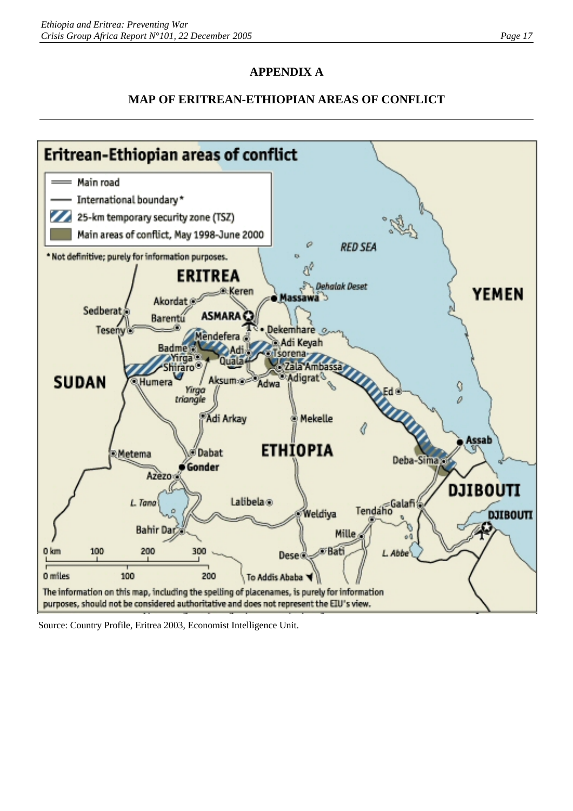## **APPENDIX A**

## **MAP OF ERITREAN-ETHIOPIAN AREAS OF CONFLICT**



Source: Country Profile, Eritrea 2003, Economist Intelligence Unit.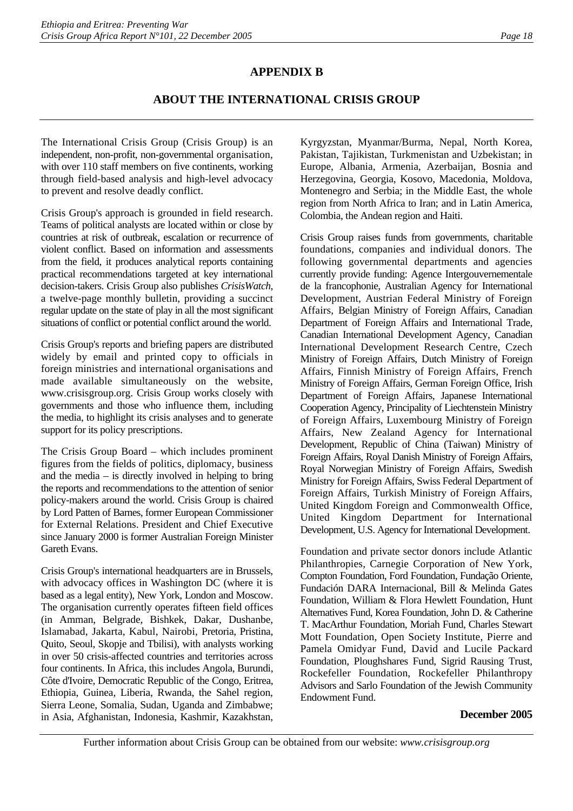## **APPENDIX B**

## **ABOUT THE INTERNATIONAL CRISIS GROUP**

The International Crisis Group (Crisis Group) is an independent, non-profit, non-governmental organisation, with over 110 staff members on five continents, working through field-based analysis and high-level advocacy to prevent and resolve deadly conflict.

Crisis Group's approach is grounded in field research. Teams of political analysts are located within or close by countries at risk of outbreak, escalation or recurrence of violent conflict. Based on information and assessments from the field, it produces analytical reports containing practical recommendations targeted at key international decision-takers. Crisis Group also publishes *CrisisWatch*, a twelve-page monthly bulletin, providing a succinct regular update on the state of play in all the most significant situations of conflict or potential conflict around the world.

Crisis Group's reports and briefing papers are distributed widely by email and printed copy to officials in foreign ministries and international organisations and made available simultaneously on the website, www.crisisgroup.org. Crisis Group works closely with governments and those who influence them, including the media, to highlight its crisis analyses and to generate support for its policy prescriptions.

The Crisis Group Board – which includes prominent figures from the fields of politics, diplomacy, business and the media  $-$  is directly involved in helping to bring the reports and recommendations to the attention of senior policy-makers around the world. Crisis Group is chaired by Lord Patten of Barnes, former European Commissioner for External Relations. President and Chief Executive since January 2000 is former Australian Foreign Minister Gareth Evans.

Crisis Group's international headquarters are in Brussels, with advocacy offices in Washington DC (where it is based as a legal entity), New York, London and Moscow. The organisation currently operates fifteen field offices (in Amman, Belgrade, Bishkek, Dakar, Dushanbe, Islamabad, Jakarta, Kabul, Nairobi, Pretoria, Pristina, Quito, Seoul, Skopje and Tbilisi), with analysts working in over 50 crisis-affected countries and territories across four continents. In Africa, this includes Angola, Burundi, Côte d'Ivoire, Democratic Republic of the Congo, Eritrea, Ethiopia, Guinea, Liberia, Rwanda, the Sahel region, Sierra Leone, Somalia, Sudan, Uganda and Zimbabwe; in Asia, Afghanistan, Indonesia, Kashmir, Kazakhstan, Kyrgyzstan, Myanmar/Burma, Nepal, North Korea, Pakistan, Tajikistan, Turkmenistan and Uzbekistan; in Europe, Albania, Armenia, Azerbaijan, Bosnia and Herzegovina, Georgia, Kosovo, Macedonia, Moldova, Montenegro and Serbia; in the Middle East, the whole region from North Africa to Iran; and in Latin America, Colombia, the Andean region and Haiti.

Crisis Group raises funds from governments, charitable foundations, companies and individual donors. The following governmental departments and agencies currently provide funding: Agence Intergouvernementale de la francophonie, Australian Agency for International Development, Austrian Federal Ministry of Foreign Affairs, Belgian Ministry of Foreign Affairs, Canadian Department of Foreign Affairs and International Trade, Canadian International Development Agency, Canadian International Development Research Centre, Czech Ministry of Foreign Affairs, Dutch Ministry of Foreign Affairs, Finnish Ministry of Foreign Affairs, French Ministry of Foreign Affairs, German Foreign Office, Irish Department of Foreign Affairs, Japanese International Cooperation Agency, Principality of Liechtenstein Ministry of Foreign Affairs, Luxembourg Ministry of Foreign Affairs, New Zealand Agency for International Development, Republic of China (Taiwan) Ministry of Foreign Affairs, Royal Danish Ministry of Foreign Affairs, Royal Norwegian Ministry of Foreign Affairs, Swedish Ministry for Foreign Affairs, Swiss Federal Department of Foreign Affairs, Turkish Ministry of Foreign Affairs, United Kingdom Foreign and Commonwealth Office, United Kingdom Department for International Development, U.S. Agency for International Development.

Foundation and private sector donors include Atlantic Philanthropies, Carnegie Corporation of New York, Compton Foundation, Ford Foundation, Fundação Oriente, Fundación DARA Internacional, Bill & Melinda Gates Foundation, William & Flora Hewlett Foundation, Hunt Alternatives Fund, Korea Foundation, John D. & Catherine T. MacArthur Foundation, Moriah Fund, Charles Stewart Mott Foundation, Open Society Institute, Pierre and Pamela Omidyar Fund, David and Lucile Packard Foundation, Ploughshares Fund, Sigrid Rausing Trust, Rockefeller Foundation, Rockefeller Philanthropy Advisors and Sarlo Foundation of the Jewish Community Endowment Fund.

#### **December 2005**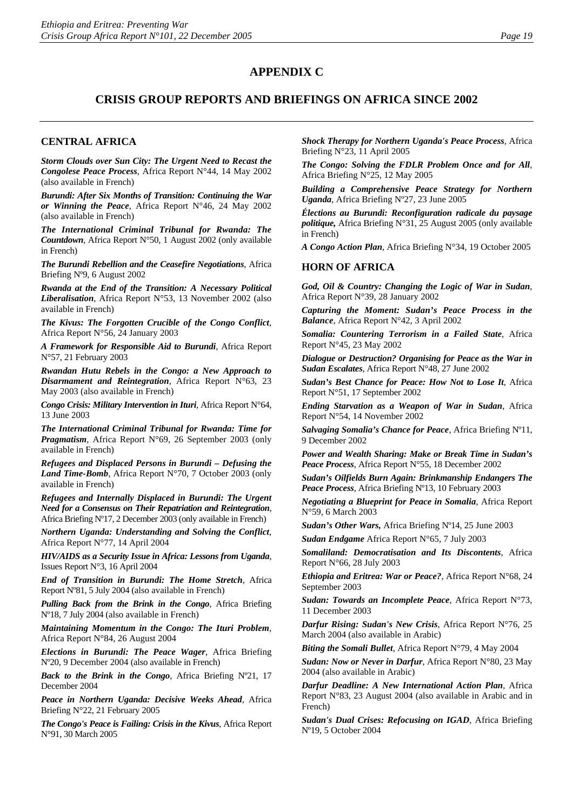### **APPENDIX C**

### **CRISIS GROUP REPORTS AND BRIEFINGS ON AFRICA SINCE 2002**

#### **CENTRAL AFRICA**

*Storm Clouds over Sun City: The Urgent Need to Recast the Congolese Peace Process*, Africa Report N°44, 14 May 2002 (also available in French)

*Burundi: After Six Months of Transition: Continuing the War or Winning the Peace*, Africa Report N°46, 24 May 2002 (also available in French)

*The International Criminal Tribunal for Rwanda: The Countdown*, Africa Report N°50, 1 August 2002 (only available in French)

*The Burundi Rebellion and the Ceasefire Negotiations*, Africa Briefing Nº9, 6 August 2002

*Rwanda at the End of the Transition: A Necessary Political Liberalisation*, Africa Report N°53, 13 November 2002 (also available in French)

*The Kivus: The Forgotten Crucible of the Congo Conflict*, Africa Report N°56, 24 January 2003

*A Framework for Responsible Aid to Burundi*, Africa Report N°57, 21 February 2003

*Rwandan Hutu Rebels in the Congo: a New Approach to Disarmament and Reintegration,* Africa Report N°63, 23 May 2003 (also available in French)

*Congo Crisis: Military Intervention in Ituri*, Africa Report N°64, 13 June 2003

*The International Criminal Tribunal for Rwanda: Time for Pragmatism*, Africa Report N°69, 26 September 2003 (only available in French)

*Refugees and Displaced Persons in Burundi – Defusing the Land Time-Bomb*, Africa Report N°70, 7 October 2003 (only available in French)

*Refugees and Internally Displaced in Burundi: The Urgent Need for a Consensus on Their Repatriation and Reintegration*, Africa Briefing Nº17, 2 December 2003 (only available in French)

*Northern Uganda: Understanding and Solving the Conflict*, Africa Report N°77, 14 April 2004

*HIV/AIDS as a Security Issue in Africa: Lessons from Uganda*, Issues Report N°3, 16 April 2004

*End of Transition in Burundi: The Home Stretch*, Africa Report Nº81, 5 July 2004 (also available in French)

*Pulling Back from the Brink in the Congo*, Africa Briefing Nº18, 7 July 2004 (also available in French)

*Maintaining Momentum in the Congo: The Ituri Problem*, Africa Report N°84, 26 August 2004

*Elections in Burundi: The Peace Wager*, Africa Briefing Nº20, 9 December 2004 (also available in French)

*Back to the Brink in the Congo*, Africa Briefing Nº21, 17 December 2004

*Peace in Northern Uganda: Decisive Weeks Ahead*, Africa Briefing N°22, 21 February 2005

*The Congo's Peace is Failing: Crisis in the Kivus*, Africa Report N°91, 30 March 2005

*Shock Therapy for Northern Uganda's Peace Process*, Africa Briefing N°23, 11 April 2005

*The Congo: Solving the FDLR Problem Once and for All*, Africa Briefing N°25, 12 May 2005

*Building a Comprehensive Peace Strategy for Northern Uganda*, Africa Briefing Nº27, 23 June 2005

*Élections au Burundi: Reconfiguration radicale du paysage politique,* Africa Briefing N°31, 25 August 2005 (only available in French)

*A Congo Action Plan*, Africa Briefing N°34, 19 October 2005

#### **HORN OF AFRICA**

*God, Oil & Country: Changing the Logic of War in Sudan*, Africa Report N°39, 28 January 2002

*Capturing the Moment: Sudan's Peace Process in the Balance*, Africa Report N°42, 3 April 2002

*Somalia: Countering Terrorism in a Failed State*, Africa Report N°45, 23 May 2002

*Dialogue or Destruction? Organising for Peace as the War in Sudan Escalates*, Africa Report N°48, 27 June 2002

*Sudan's Best Chance for Peace: How Not to Lose It*, Africa Report N°51, 17 September 2002

*Ending Starvation as a Weapon of War in Sudan*, Africa Report N°54, 14 November 2002

*Salvaging Somalia's Chance for Peace*, Africa Briefing Nº11, 9 December 2002

*Power and Wealth Sharing: Make or Break Time in Sudan's Peace Process,* Africa Report N°55, 18 December 2002

*Sudan's Oilfields Burn Again: Brinkmanship Endangers The Peace Process*, Africa Briefing Nº13, 10 February 2003

*Negotiating a Blueprint for Peace in Somalia*, Africa Report N°59, 6 March 2003

*Sudan's Other Wars,* Africa Briefing Nº14, 25 June 2003

*Sudan Endgame* Africa Report N°65, 7 July 2003

*Somaliland: Democratisation and Its Discontents*, Africa Report N°66, 28 July 2003

*Ethiopia and Eritrea: War or Peace?*, Africa Report N°68, 24 September 2003

*Sudan: Towards an Incomplete Peace*, Africa Report N°73, 11 December 2003

*Darfur Rising: Sudan's New Crisis*, Africa Report N°76, 25 March 2004 (also available in Arabic)

*Biting the Somali Bullet*, Africa Report N°79, 4 May 2004

*Sudan: Now or Never in Darfur*, Africa Report N°80, 23 May 2004 (also available in Arabic)

*Darfur Deadline: A New International Action Plan*, Africa Report N°83, 23 August 2004 (also available in Arabic and in French)

*Sudan's Dual Crises: Refocusing on IGAD*, Africa Briefing Nº19, 5 October 2004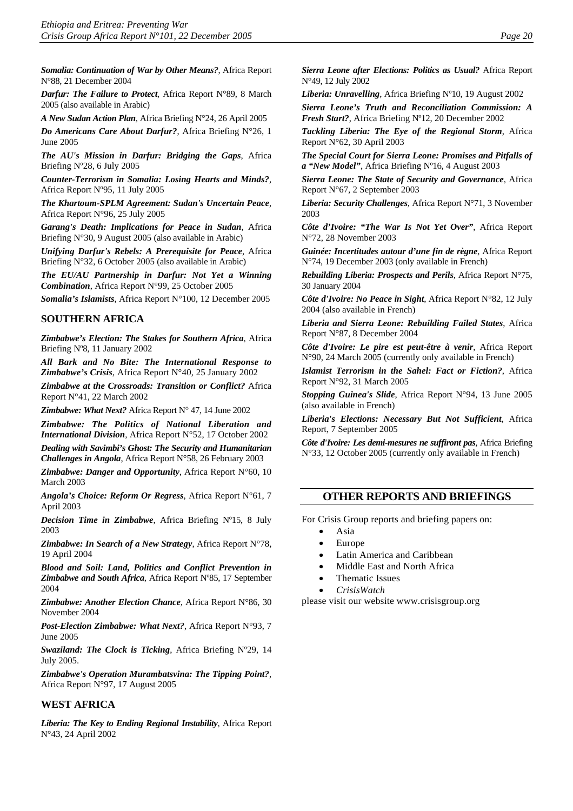*Somalia: Continuation of War by Other Means?*, Africa Report N°88, 21 December 2004

*Darfur: The Failure to Protect*, Africa Report N°89, 8 March 2005 (also available in Arabic)

*A New Sudan Action Plan*, Africa Briefing N°24, 26 April 2005

*Do Americans Care About Darfur?*, Africa Briefing N°26, 1 June 2005

*The AU's Mission in Darfur: Bridging the Gaps*, Africa Briefing Nº28, 6 July 2005

*Counter-Terrorism in Somalia: Losing Hearts and Minds?*, Africa Report Nº95, 11 July 2005

*The Khartoum-SPLM Agreement: Sudan's Uncertain Peace*, Africa Report N°96, 25 July 2005

*Garang's Death: Implications for Peace in Sudan*, Africa Briefing N°30, 9 August 2005 (also available in Arabic)

*Unifying Darfur's Rebels: A Prerequisite for Peace*, Africa Briefing N°32, 6 October 2005 (also available in Arabic)

*The EU/AU Partnership in Darfur: Not Yet a Winning Combination*, Africa Report N°99, 25 October 2005

*Somalia's Islamists*, Africa Report N°100, 12 December 2005

#### **SOUTHERN AFRICA**

*Zimbabwe's Election: The Stakes for Southern Africa*, Africa Briefing Nº8, 11 January 2002

*All Bark and No Bite: The International Response to Zimbabwe's Crisis*, Africa Report N°40, 25 January 2002

*Zimbabwe at the Crossroads: Transition or Conflict?* Africa Report N°41, 22 March 2002

*Zimbabwe: What Next?* Africa Report N° 47, 14 June 2002

*Zimbabwe: The Politics of National Liberation and International Division*, Africa Report N°52, 17 October 2002

*Dealing with Savimbi's Ghost: The Security and Humanitarian Challenges in Angola*, Africa Report N°58, 26 February 2003

*Zimbabwe: Danger and Opportunity*, Africa Report N°60, 10 March 2003

*Angola's Choice: Reform Or Regress*, Africa Report N°61, 7 April 2003

*Decision Time in Zimbabwe*, Africa Briefing Nº15, 8 July 2003

*Zimbabwe: In Search of a New Strategy*, Africa Report N°78, 19 April 2004

*Blood and Soil: Land, Politics and Conflict Prevention in Zimbabwe and South Africa*, Africa Report Nº85, 17 September 2004

*Zimbabwe: Another Election Chance*, Africa Report N°86, 30 November 2004

*Post-Election Zimbabwe: What Next?*, Africa Report N°93, 7 June 2005

*Swaziland: The Clock is Ticking*, Africa Briefing Nº29, 14 July 2005.

*Zimbabwe's Operation Murambatsvina: The Tipping Point?*, Africa Report N°97, 17 August 2005

#### **WEST AFRICA**

*Liberia: The Key to Ending Regional Instability*, Africa Report N°43, 24 April 2002

*Sierra Leone after Elections: Politics as Usual?* Africa Report N°49, 12 July 2002

*Liberia: Unravelling*, Africa Briefing Nº10, 19 August 2002

*Sierra Leone's Truth and Reconciliation Commission: A Fresh Start?*, Africa Briefing Nº12, 20 December 2002

*Tackling Liberia: The Eye of the Regional Storm*, Africa Report N°62, 30 April 2003

*The Special Court for Sierra Leone: Promises and Pitfalls of a "New Model"*, Africa Briefing Nº16, 4 August 2003

*Sierra Leone: The State of Security and Governance*, Africa Report N°67, 2 September 2003

*Liberia: Security Challenges*, Africa Report N°71, 3 November 2003

*Côte d'Ivoire: "The War Is Not Yet Over"*, Africa Report N°72, 28 November 2003

*Guinée: Incertitudes autour d'une fin de règne*, Africa Report N°74, 19 December 2003 (only available in French)

*Rebuilding Liberia: Prospects and Perils*, Africa Report N°75, 30 January 2004

*Côte d'Ivoire: No Peace in Sight*, Africa Report N°82, 12 July 2004 (also available in French)

*Liberia and Sierra Leone: Rebuilding Failed States*, Africa Report N°87, 8 December 2004

*Côte d'Ivoire: Le pire est peut-être à venir*, Africa Report N°90, 24 March 2005 (currently only available in French)

*Islamist Terrorism in the Sahel: Fact or Fiction?*, Africa Report N°92, 31 March 2005

*Stopping Guinea's Slide*, Africa Report N°94, 13 June 2005 (also available in French)

*Liberia's Elections: Necessary But Not Sufficient*, Africa Report, 7 September 2005

*Côte d'Ivoire: Les demi-mesures ne suffiront pas*, Africa Briefing N°33, 12 October 2005 (currently only available in French)

#### **OTHER REPORTS AND BRIEFINGS**

For Crisis Group reports and briefing papers on:

- Asia
- Europe
- Latin America and Caribbean
- Middle East and North Africa
- Thematic Issues
- *CrisisWatch*

please visit our website [www.crisisgroup.org](http://www.crisisgroup.org/)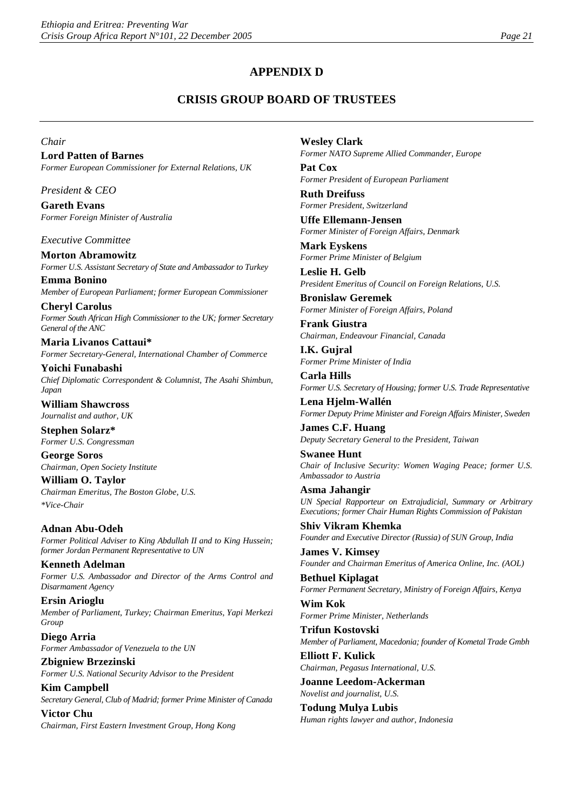## **APPENDIX D**

## **CRISIS GROUP BOARD OF TRUSTEES**

*Chair*

**Lord Patten of Barnes** *Former European Commissioner for External Relations, UK*

*President & CEO*

**Gareth Evans** *Former Foreign Minister of Australia*

*Executive Committee*

**Morton Abramowitz** *Former U.S. Assistant Secretary of State and Ambassador to Turkey*

**Emma Bonino** *Member of European Parliament; former European Commissioner*

**Cheryl Carolus** *Former South African High Commissioner to the UK; former Secretary General of the ANC*

**Maria Livanos Cattaui\*** *Former Secretary-General, International Chamber of Commerce*

**Yoichi Funabashi** *Chief Diplomatic Correspondent & Columnist, The Asahi Shimbun, Japan* 

**William Shawcross** *Journalist and author, UK*

**Stephen Solarz\*** *Former U.S. Congressman*

**George Soros** *Chairman, Open Society Institute*

**William O. Taylor** *Chairman Emeritus, The Boston Globe, U.S. \*Vice-Chair*

**Adnan Abu-Odeh** *Former Political Adviser to King Abdullah II and to King Hussein; former Jordan Permanent Representative to UN*

**Kenneth Adelman** *Former U.S. Ambassador and Director of the Arms Control and Disarmament Agency*

**Ersin Arioglu** *Member of Parliament, Turkey; Chairman Emeritus, Yapi Merkezi Group*

**Diego Arria** *Former Ambassador of Venezuela to the UN*

**Zbigniew Brzezinski** *Former U.S. National Security Advisor to the President* **Kim Campbell**

*Secretary General, Club of Madrid; former Prime Minister of Canada*

**Victor Chu** *Chairman, First Eastern Investment Group, Hong Kong* **Wesley Clark** *Former NATO Supreme Allied Commander, Europe*

**Pat Cox** *Former President of European Parliament*

**Ruth Dreifuss** *Former President, Switzerland*

**Uffe Ellemann-Jensen** *Former Minister of Foreign Affairs, Denmark*

**Mark Eyskens** *Former Prime Minister of Belgium*

**Leslie H. Gelb** *President Emeritus of Council on Foreign Relations, U.S.* 

**Bronislaw Geremek** *Former Minister of Foreign Affairs, Poland*

**Frank Giustra** *Chairman, Endeavour Financial, Canada*

**I.K. Gujral** *Former Prime Minister of India*

**Carla Hills** *Former U.S. Secretary of Housing; former U.S. Trade Representative*

**Lena Hjelm-Wallén** *Former Deputy Prime Minister and Foreign Affairs Minister, Sweden* 

**James C.F. Huang** *Deputy Secretary General to the President, Taiwan*

**Swanee Hunt** *Chair of Inclusive Security: Women Waging Peace; former U.S. Ambassador to Austria*

**Asma Jahangir** *UN Special Rapporteur on Extrajudicial, Summary or Arbitrary Executions; former Chair Human Rights Commission of Pakistan*

**Shiv Vikram Khemka** *Founder and Executive Director (Russia) of SUN Group, India*

**James V. Kimsey**  *Founder and Chairman Emeritus of America Online, Inc. (AOL)*

**Bethuel Kiplagat** *Former Permanent Secretary, Ministry of Foreign Affairs, Kenya*

**Wim Kok** *Former Prime Minister, Netherlands*

**Trifun Kostovski** *Member of Parliament, Macedonia; founder of Kometal Trade Gmbh* 

**Elliott F. Kulick** *Chairman, Pegasus International, U.S.*

**Joanne Leedom-Ackerman** *Novelist and journalist, U.S.*

**Todung Mulya Lubis** *Human rights lawyer and author, Indonesia*